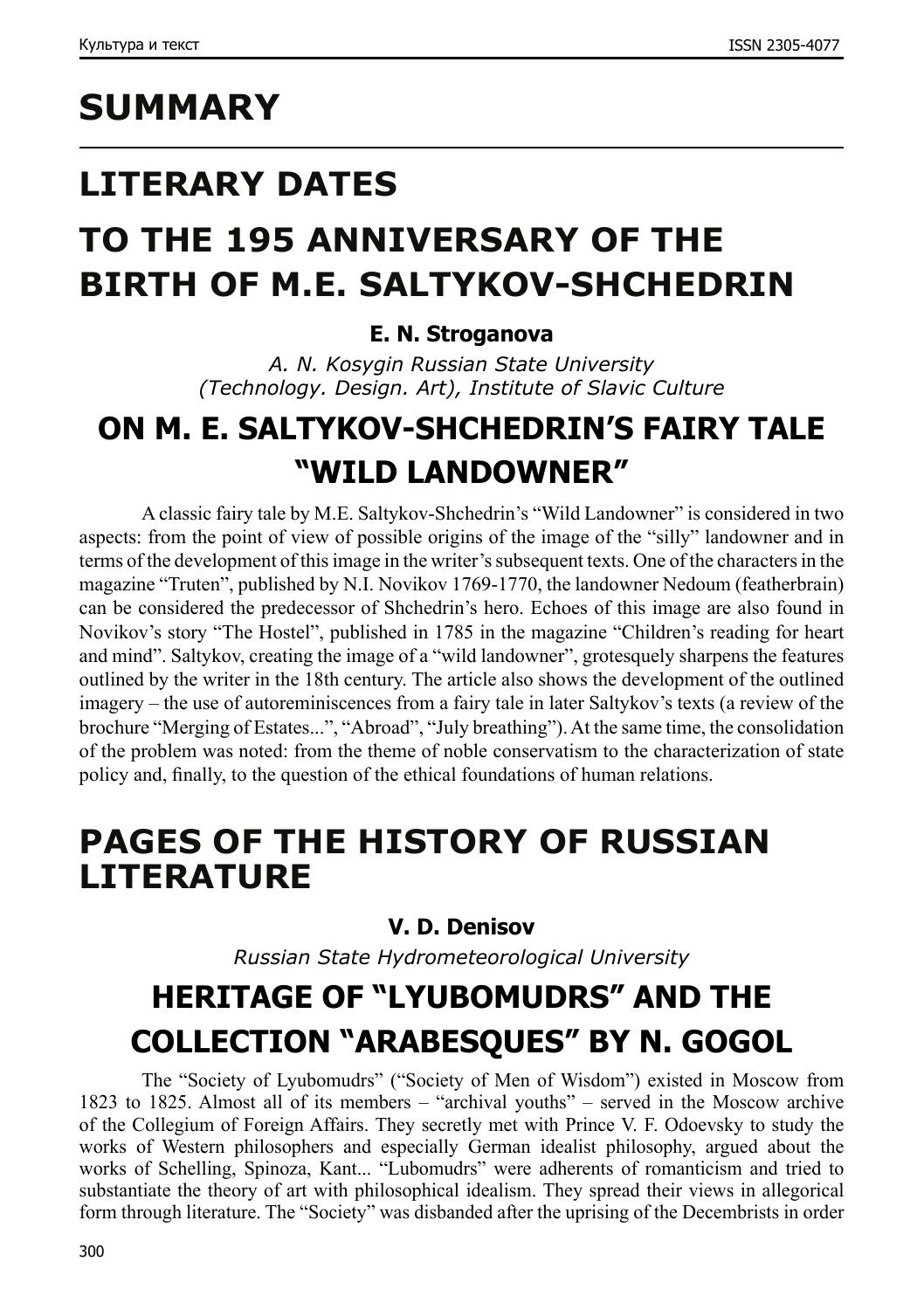# **SUMMARY**

# **LITERARY DATES**

# **TO THE 195 ANNIVERSARY OF THE BIRTH OF M.E. SALTYKOV-SHCHEDRIN**

### **E. N. Stroganova**

*A. N. Kosygin Russian State University (Technology. Design. Art), Institute of Slavic Culture*

### **ON M. E. SALTYKOV-SHCHEDRIN'S FAIRY TALE "WILD LANDOWNER"**

A classic fairy tale by M.E. Saltykov-Shchedrin's "Wild Landowner" is considered in two aspects: from the point of view of possible origins of the image of the "silly" landowner and in terms of the development of this image in the writer's subsequent texts. One of the characters in the magazine "Truten", published by N.I. Novikov 1769-1770, the landowner Nedoum (featherbrain) can be considered the predecessor of Shchedrin's hero. Echoes of this image are also found in Novikov's story "The Hostel", published in 1785 in the magazine "Children's reading for heart and mind". Saltykov, creating the image of a "wild landowner", grotesquely sharpens the features outlined by the writer in the 18th century. The article also shows the development of the outlined imagery – the use of autoreminiscences from a fairy tale in later Saltykov's texts (a review of the brochure "Merging of Estates...", "Abroad", "July breathing"). At the same time, the consolidation of the problem was noted: from the theme of noble conservatism to the characterization of state policy and, finally, to the question of the ethical foundations of human relations.

## **PAGES OF THE HISTORY OF RUSSIAN LITERATURE**

### **V. D. Denisov**

*Russian State Hydrometeorological University*

# **HERITAGE OF "LYUBOMUDRS" AND THE COLLECTION "ARABESQUES" BY N. GOGOL**

The "Society of Lyubomudrs" ("Society of Men of Wisdom") existed in Moscow from 1823 to 1825. Almost all of its members – "archival youths" – served in the Moscow archive of the Collegium of Foreign Affairs. They secretly met with Prince V. F. Odoevsky to study the works of Western philosophers and especially German idealist philosophy, argued about the works of Schelling, Spinoza, Kant... "Lubomudrs" were adherents of romanticism and tried to substantiate the theory of art with philosophical idealism. They spread their views in allegorical form through literature. The "Society" was disbanded after the uprising of the Decembrists in order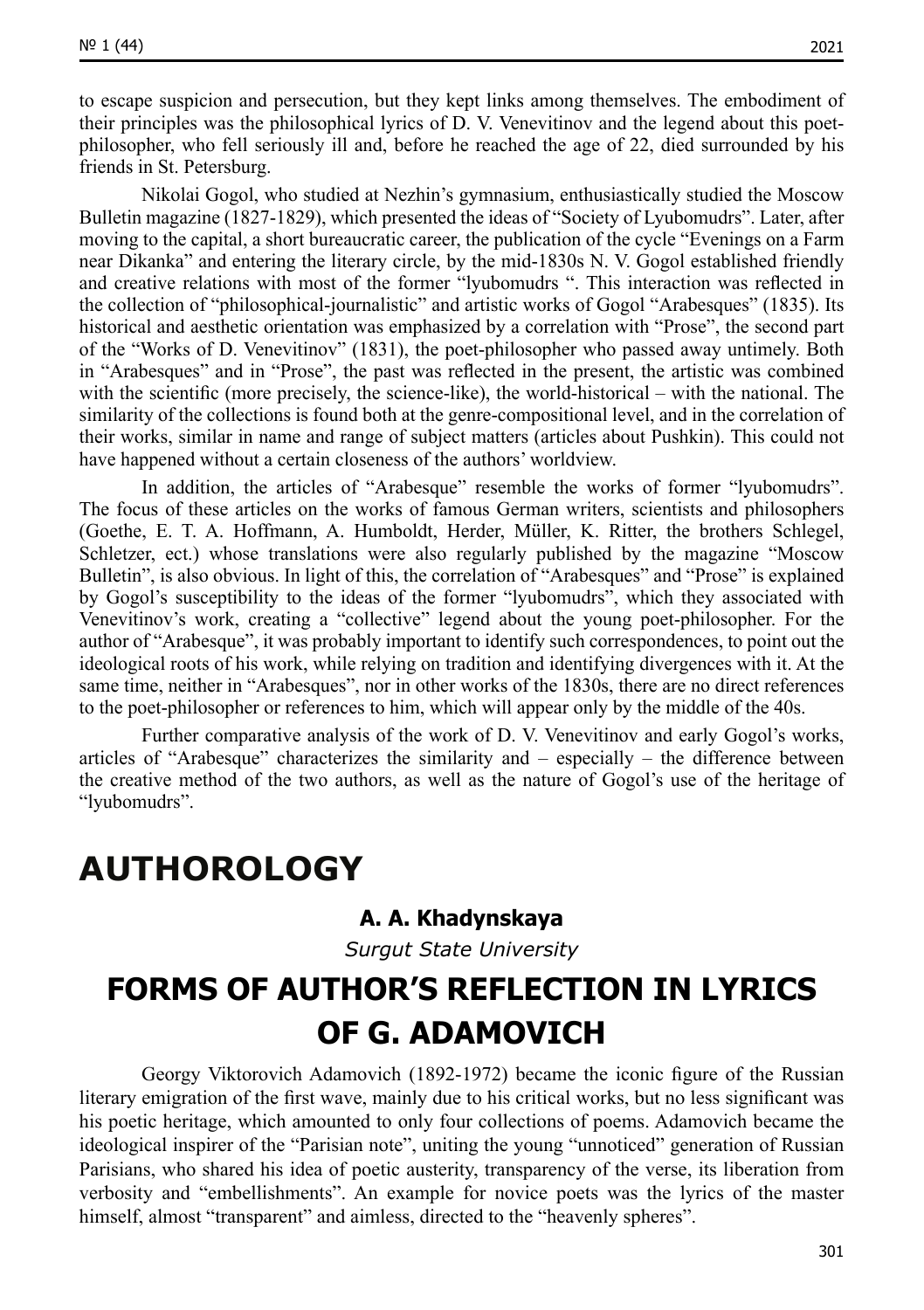to escape suspicion and persecution, but they kept links among themselves. The embodiment of their principles was the philosophical lyrics of D. V. Venevitinov and the legend about this poetphilosopher, who fell seriously ill and, before he reached the age of 22, died surrounded by his friends in St. Petersburg.

Nikolai Gogol, who studied at Nezhin's gymnasium, enthusiastically studied the Moscow Bulletin magazine (1827-1829), which presented the ideas of "Society of Lyubomudrs". Later, after moving to the capital, a short bureaucratic career, the publication of the cycle "Evenings on a Farm near Dikanka" and entering the literary circle, by the mid-1830s N. V. Gogol established friendly and creative relations with most of the former "lyubomudrs ". This interaction was reflected in the collection of "philosophical-journalistic" and artistic works of Gogol "Arabesques" (1835). Its historical and aesthetic orientation was emphasized by a correlation with "Prose", the second part of the "Works of D. Venevitinov" (1831), the poet-philosopher who passed away untimely. Both in "Arabesques" and in "Prose", the past was reflected in the present, the artistic was combined with the scientific (more precisely, the science-like), the world-historical – with the national. The similarity of the collections is found both at the genre-compositional level, and in the correlation of their works, similar in name and range of subject matters (articles about Pushkin). This could not have happened without a certain closeness of the authors' worldview.

In addition, the articles of "Arabesque" resemble the works of former "lyubomudrs". The focus of these articles on the works of famous German writers, scientists and philosophers (Goethe, E. T. A. Hoffmann, A. Humboldt, Herder, Müller, K. Ritter, the brothers Schlegel, Schletzer, ect.) whose translations were also regularly published by the magazine "Moscow Bulletin", is also obvious. In light of this, the correlation of "Arabesques" and "Prose" is explained by Gogol's susceptibility to the ideas of the former "lyubomudrs", which they associated with Venevitinov's work, creating a "collective" legend about the young poet-philosopher. For the author of "Arabesque", it was probably important to identify such correspondences, to point out the ideological roots of his work, while relying on tradition and identifying divergences with it. At the same time, neither in "Arabesques", nor in other works of the 1830s, there are no direct references to the poet-philosopher or references to him, which will appear only by the middle of the 40s.

Further comparative analysis of the work of D. V. Venevitinov and early Gogol's works, articles of "Arabesque" characterizes the similarity and – especially – the difference between the creative method of the two authors, as well as the nature of Gogol's use of the heritage of "lyubomudrs".

### **AUTHOROLOGY**

#### **А. А. Khadynskaya**

*Surgut State University*

### **FORMS OF AUTHOR'S REFLECTION IN LYRICS OF G. ADAMOVICH**

Georgy Viktorovich Adamovich (1892-1972) became the iconic figure of the Russian literary emigration of the first wave, mainly due to his critical works, but no less significant was his poetic heritage, which amounted to only four collections of poems. Adamovich became the ideological inspirer of the "Parisian note", uniting the young "unnoticed" generation of Russian Parisians, who shared his idea of poetic austerity, transparency of the verse, its liberation from verbosity and "embellishments". An example for novice poets was the lyrics of the master himself, almost "transparent" and aimless, directed to the "heavenly spheres".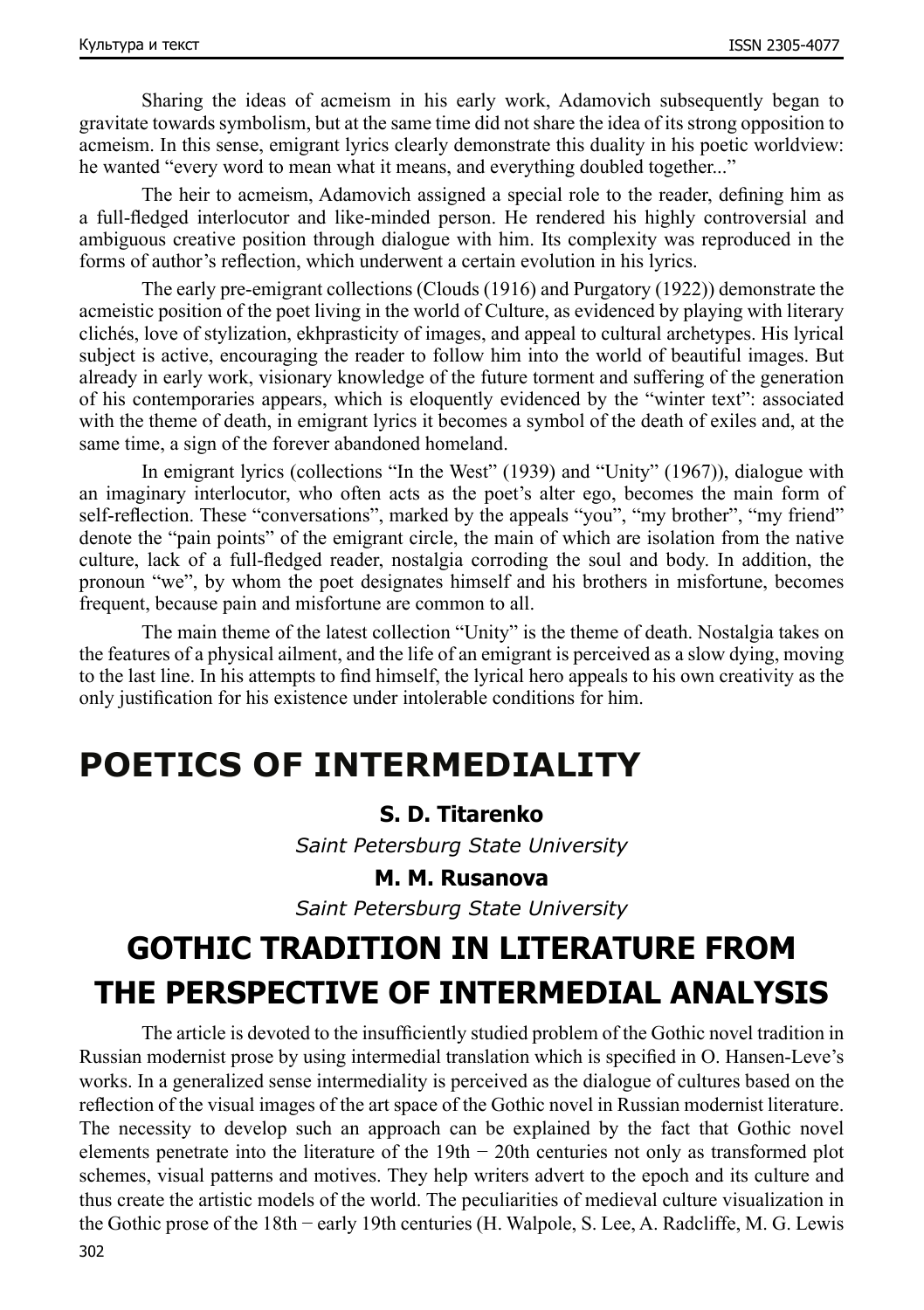Sharing the ideas of acmeism in his early work, Adamovich subsequently began to gravitate towards symbolism, but at the same time did not share the idea of its strong opposition to acmeism. In this sense, emigrant lyrics clearly demonstrate this duality in his poetic worldview: he wanted "every word to mean what it means, and everything doubled together..."

The heir to acmeism, Adamovich assigned a special role to the reader, defining him as a full-fledged interlocutor and like-minded person. He rendered his highly controversial and ambiguous creative position through dialogue with him. Its complexity was reproduced in the forms of author's reflection, which underwent a certain evolution in his lyrics.

The early pre-emigrant collections (Clouds (1916) and Purgatory (1922)) demonstrate the acmeistic position of the poet living in the world of Culture, as evidenced by playing with literary clichés, love of stylization, ekhprasticity of images, and appeal to cultural archetypes. His lyrical subject is active, encouraging the reader to follow him into the world of beautiful images. But already in early work, visionary knowledge of the future torment and suffering of the generation of his contemporaries appears, which is eloquently evidenced by the "winter text": associated with the theme of death, in emigrant lyrics it becomes a symbol of the death of exiles and, at the same time, a sign of the forever abandoned homeland.

In emigrant lyrics (collections "In the West" (1939) and "Unity" (1967)), dialogue with an imaginary interlocutor, who often acts as the poet's alter ego, becomes the main form of self-reflection. These "conversations", marked by the appeals "you", "my brother", "my friend" denote the "pain points" of the emigrant circle, the main of which are isolation from the native culture, lack of a full-fledged reader, nostalgia corroding the soul and body. In addition, the pronoun "we", by whom the poet designates himself and his brothers in misfortune, becomes frequent, because pain and misfortune are common to all.

The main theme of the latest collection "Unity" is the theme of death. Nostalgia takes on the features of a physical ailment, and the life of an emigrant is perceived as a slow dying, moving to the last line. In his attempts to find himself, the lyrical hero appeals to his own creativity as the only justification for his existence under intolerable conditions for him.

### **POETICS OF INTERMEDIALITY**

#### **S. D. Titarenko**

*Saint Petersburg State University*

#### **M. M. Rusanova**

*Saint Petersburg State University*

## **GOTHIC TRADITION IN LITERATURE FROM THE PERSPECTIVE OF INTERMEDIAL ANALYSIS**

302 The article is devoted to the insufficiently studied problem of the Gothic novel tradition in Russian modernist prose by using intermedial translation which is specified in O. Hansen-Leve's works. In a generalized sense intermediality is perceived as the dialogue of cultures based on the reflection of the visual images of the art space of the Gothic novel in Russian modernist literature. The necessity to develop such an approach can be explained by the fact that Gothic novel elements penetrate into the literature of the 19th − 20th centuries not only as transformed plot schemes, visual patterns and motives. They help writers advert to the epoch and its culture and thus create the artistic models of the world. The peculiarities of medieval culture visualization in the Gothic prose of the 18th − early 19th centuries (H. Walpole, S. Lee, A. Radcliffe, M. G. Lewis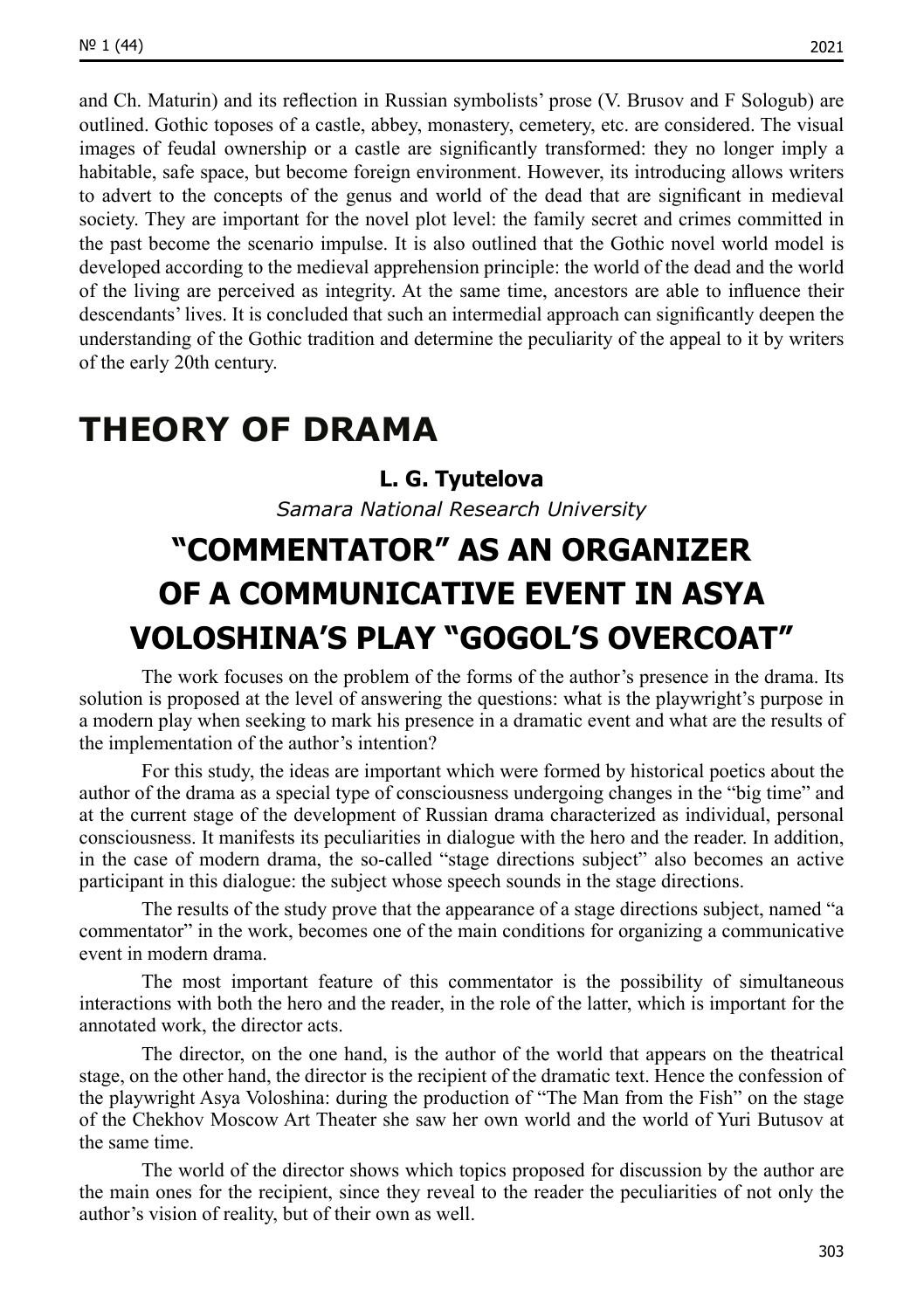and Ch. Maturin) and its reflection in Russian symbolists' prose (V. Brusov and F Sologub) are outlined. Gothic toposes of a castle, abbey, monastery, cemetery, etc. are considered. The visual images of feudal ownership or a castle are significantly transformed: they no longer imply a habitable, safe space, but become foreign environment. However, its introducing allows writers to advert to the concepts of the genus and world of the dead that are significant in medieval society. They are important for the novel plot level: the family secret and crimes committed in the past become the scenario impulse. It is also outlined that the Gothic novel world model is developed according to the medieval apprehension principle: the world of the dead and the world of the living are perceived as integrity. At the same time, ancestors are able to influence their descendants' lives. It is concluded that such an intermedial approach can significantly deepen the understanding of the Gothic tradition and determine the peculiarity of the appeal to it by writers of the early 20th century.

### **THEORY OF DRAMA**

#### **L. G. Tyutelova**

*Samara National Research University*

## **"COMMENTATOR" AS AN ORGANIZER OF A COMMUNICATIVE EVENT IN ASYA VOLOSHINA'S PLAY "GOGOL'S OVERCOAT"**

The work focuses on the problem of the forms of the author's presence in the drama. Its solution is proposed at the level of answering the questions: what is the playwright's purpose in a modern play when seeking to mark his presence in a dramatic event and what are the results of the implementation of the author's intention?

For this study, the ideas are important which were formed by historical poetics about the author of the drama as a special type of consciousness undergoing changes in the "big time" and at the current stage of the development of Russian drama characterized as individual, personal consciousness. It manifests its peculiarities in dialogue with the hero and the reader. In addition, in the case of modern drama, the so-called "stage directions subject" also becomes an active participant in this dialogue: the subject whose speech sounds in the stage directions.

The results of the study prove that the appearance of a stage directions subject, named "a commentator" in the work, becomes one of the main conditions for organizing a communicative event in modern drama.

The most important feature of this commentator is the possibility of simultaneous interactions with both the hero and the reader, in the role of the latter, which is important for the annotated work, the director acts.

The director, on the one hand, is the author of the world that appears on the theatrical stage, on the other hand, the director is the recipient of the dramatic text. Hence the confession of the playwright Asya Voloshina: during the production of "The Man from the Fish" on the stage of the Chekhov Moscow Art Theater she saw her own world and the world of Yuri Butusov at the same time.

The world of the director shows which topics proposed for discussion by the author are the main ones for the recipient, since they reveal to the reader the peculiarities of not only the author's vision of reality, but of their own as well.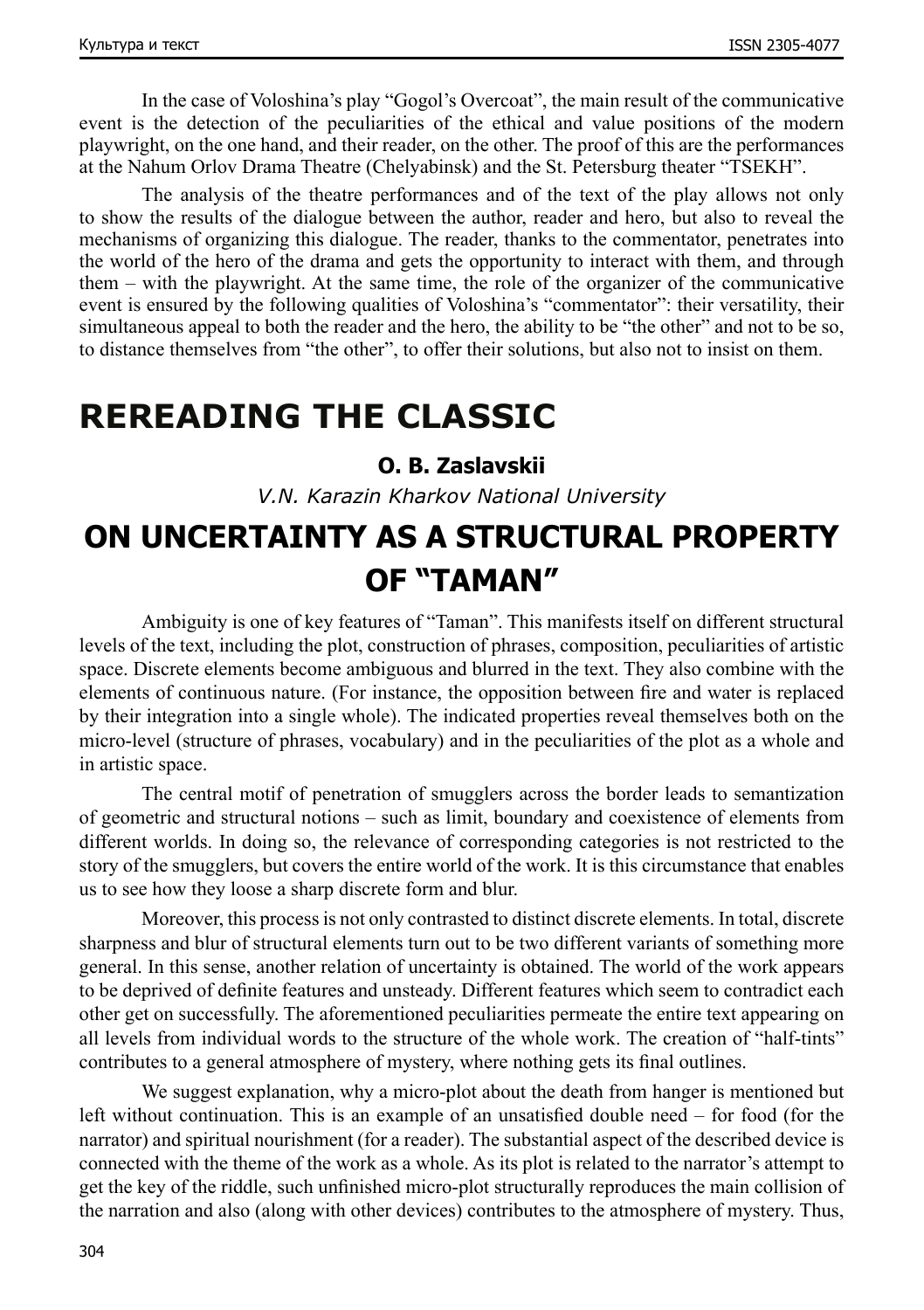In the case of Voloshina's play "Gogol's Overcoat", the main result of the communicative event is the detection of the peculiarities of the ethical and value positions of the modern playwright, on the one hand, and their reader, on the other. The proof of this are the performances at the Nahum Orlov Drama Theatre (Chelyabinsk) and the St. Petersburg theater "TSEKH".

The analysis of the theatre performances and of the text of the play allows not only to show the results of the dialogue between the author, reader and hero, but also to reveal the mechanisms of organizing this dialogue. The reader, thanks to the commentator, penetrates into the world of the hero of the drama and gets the opportunity to interact with them, and through them – with the playwright. At the same time, the role of the organizer of the communicative event is ensured by the following qualities of Voloshina's "commentator": their versatility, their simultaneous appeal to both the reader and the hero, the ability to be "the other" and not to be so, to distance themselves from "the other", to offer their solutions, but also not to insist on them.

### **REREADING THE CLASSIC**

#### **O. B. Zaslavskii**

*V.N. Karazin Kharkov National University*

### **ON UNCERTAINTY AS A STRUCTURAL PROPERTY OF "TAMAN"**

Ambiguity is one of key features of "Taman". This manifests itself on different structural levels of the text, including the plot, construction of phrases, composition, peculiarities of artistic space. Discrete elements become ambiguous and blurred in the text. They also combine with the elements of continuous nature. (For instance, the opposition between fire and water is replaced by their integration into a single whole). The indicated properties reveal themselves both on the micro-level (structure of phrases, vocabulary) and in the peculiarities of the plot as a whole and in artistic space.

The central motif of penetration of smugglers across the border leads to semantization of geometric and structural notions – such as limit, boundary and coexistence of elements from different worlds. In doing so, the relevance of corresponding categories is not restricted to the story of the smugglers, but covers the entire world of the work. It is this circumstance that enables us to see how they loose a sharp discrete form and blur.

Moreover, this process is not only contrasted to distinct discrete elements. In total, discrete sharpness and blur of structural elements turn out to be two different variants of something more general. In this sense, another relation of uncertainty is obtained. The world of the work appears to be deprived of definite features and unsteady. Different features which seem to contradict each other get on successfully. The aforementioned peculiarities permeate the entire text appearing on all levels from individual words to the structure of the whole work. The creation of "half-tints" contributes to a general atmosphere of mystery, where nothing gets its final outlines.

We suggest explanation, why a micro-plot about the death from hanger is mentioned but left without continuation. This is an example of an unsatisfied double need – for food (for the narrator) and spiritual nourishment (for a reader). The substantial aspect of the described device is connected with the theme of the work as a whole. As its plot is related to the narrator's attempt to get the key of the riddle, such unfinished micro-plot structurally reproduces the main collision of the narration and also (along with other devices) contributes to the atmosphere of mystery. Thus,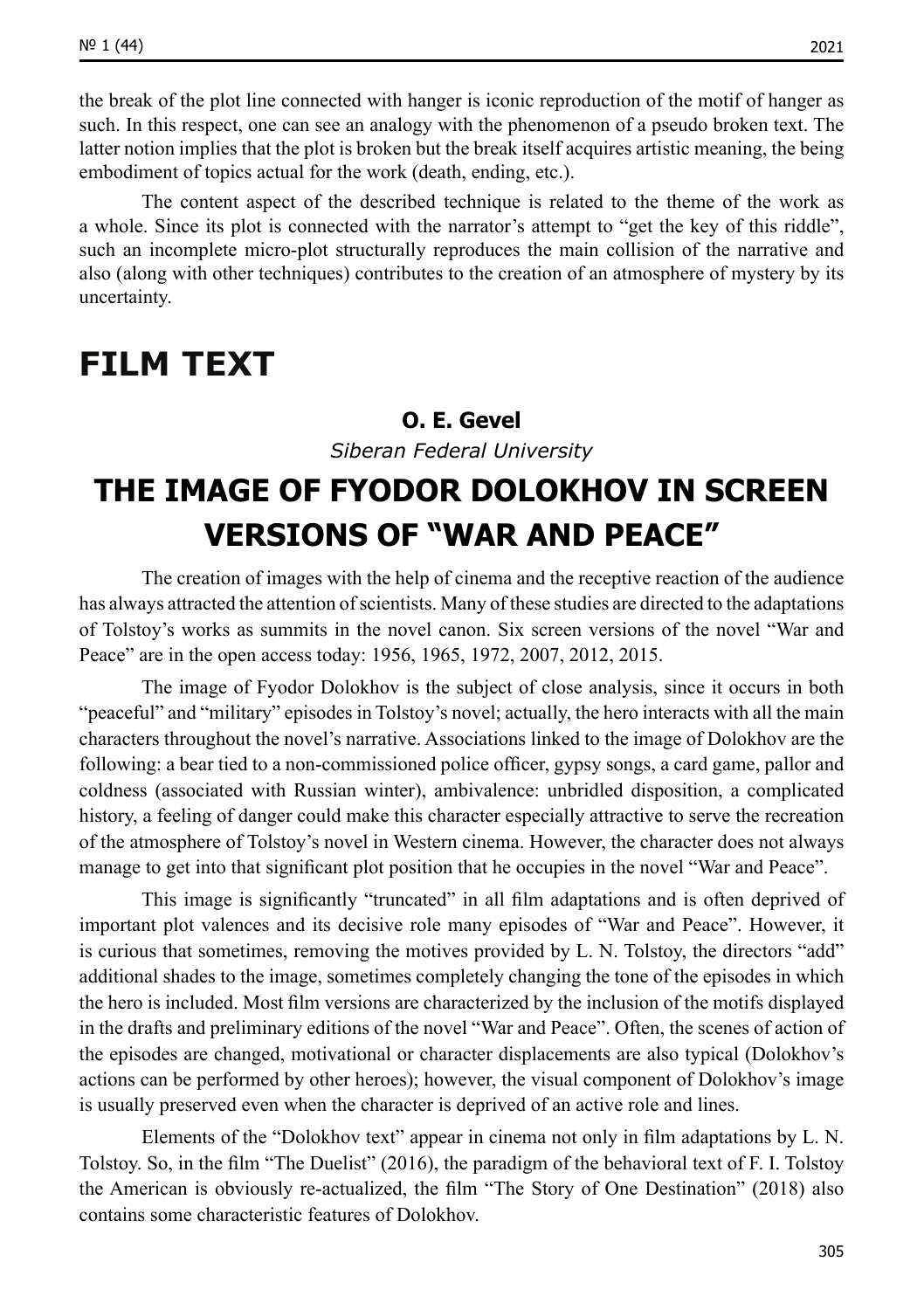the break of the plot line connected with hanger is iconic reproduction of the motif of hanger as such. In this respect, one can see an analogy with the phenomenon of a pseudo broken text. The latter notion implies that the plot is broken but the break itself acquires artistic meaning, the being embodiment of topics actual for the work (death, ending, etc.).

The content aspect of the described technique is related to the theme of the work as a whole. Since its plot is connected with the narrator's attempt to "get the key of this riddle", such an incomplete micro-plot structurally reproduces the main collision of the narrative and also (along with other techniques) contributes to the creation of an atmosphere of mystery by its uncertainty.

### **FILM TEXT**

#### **O. Е. Gevel**

*Siberan Federal University*

### **THE IMAGE OF FYODOR DOLOKHOV IN SCREEN VERSIONS OF "WAR AND PEACE"**

The creation of images with the help of cinema and the receptive reaction of the audience has always attracted the attention of scientists. Many of these studies are directed to the adaptations of Tolstoy's works as summits in the novel canon. Six screen versions of the novel "War and Peace" are in the open access today: 1956, 1965, 1972, 2007, 2012, 2015.

The image of Fyodor Dolokhov is the subject of close analysis, since it occurs in both "peaceful" and "military" episodes in Tolstoy's novel; actually, the hero interacts with all the main characters throughout the novel's narrative. Associations linked to the image of Dolokhov are the following: a bear tied to a non-commissioned police officer, gypsy songs, a card game, pallor and coldness (associated with Russian winter), ambivalence: unbridled disposition, a complicated history, a feeling of danger could make this character especially attractive to serve the recreation of the atmosphere of Tolstoy's novel in Western cinema. However, the character does not always manage to get into that significant plot position that he occupies in the novel "War and Peace".

This image is significantly "truncated" in all film adaptations and is often deprived of important plot valences and its decisive role many episodes of "War and Peace". However, it is curious that sometimes, removing the motives provided by L. N. Tolstoy, the directors "add" additional shades to the image, sometimes completely changing the tone of the episodes in which the hero is included. Most film versions are characterized by the inclusion of the motifs displayed in the drafts and preliminary editions of the novel "War and Peace". Often, the scenes of action of the episodes are changed, motivational or character displacements are also typical (Dolokhov's actions can be performed by other heroes); however, the visual component of Dolokhov's image is usually preserved even when the character is deprived of an active role and lines.

Elements of the "Dolokhov text" appear in cinema not only in film adaptations by L. N. Tolstoy. So, in the film "The Duelist" (2016), the paradigm of the behavioral text of F. I. Tolstoy the American is obviously re-actualized, the film "The Story of One Destination" (2018) also contains some characteristic features of Dolokhov.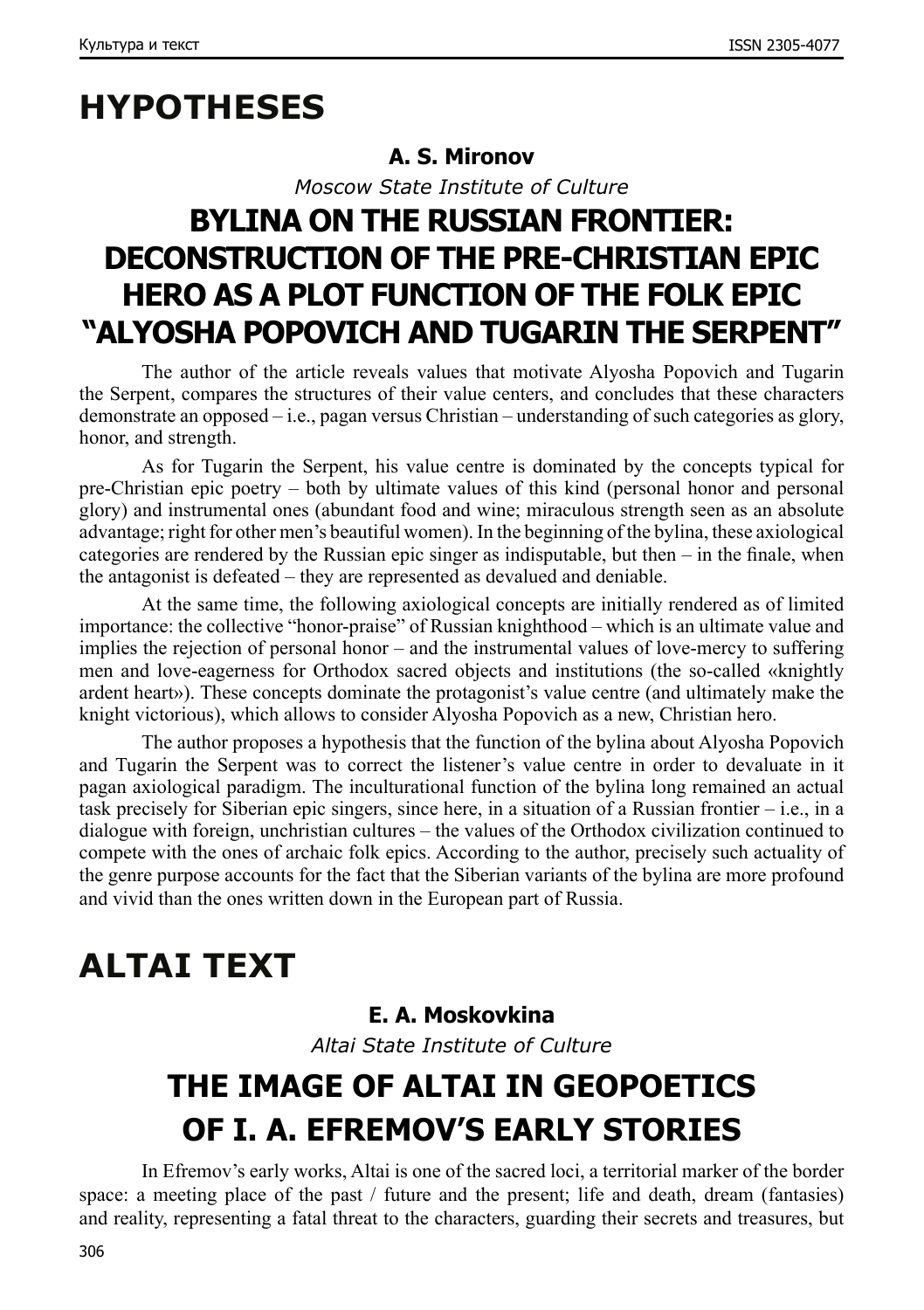# **HYPOTHESES**

#### **A. S. Mironov**

*Moscow State Institute of Culture*

## **BYLINA ON THE RUSSIAN FRONTIER: DECONSTRUCTION OF THE PRE-CHRISTIAN EPIC HERO AS A PLOT FUNCTION OF THE FOLK EPIC "ALYOSHA POPOVICH AND TUGARIN THE SERPENT"**

The author of the article reveals values that motivate Alyosha Popovich and Tugarin the Serpent, compares the structures of their value centers, and concludes that these characters demonstrate an opposed – i.e., pagan versus Christian – understanding of such categories as glory, honor, and strength.

As for Tugarin the Serpent, his value centre is dominated by the concepts typical for pre-Christian epic poetry – both by ultimate values of this kind (personal honor and personal glory) and instrumental ones (abundant food and wine; miraculous strength seen as an absolute advantage; right for other men's beautiful women). In the beginning of the bylina, these axiological categories are rendered by the Russian epic singer as indisputable, but then – in the finale, when the antagonist is defeated – they are represented as devalued and deniable.

At the same time, the following axiological concepts are initially rendered as of limited importance: the collective "honor-praise" of Russian knighthood – which is an ultimate value and implies the rejection of personal honor – and the instrumental values of love-mercy to suffering men and love-eagerness for Orthodox sacred objects and institutions (the so-called «knightly ardent heart»). These concepts dominate the protagonist's value centre (and ultimately make the knight victorious), which allows to consider Alyosha Popovich as a new, Christian hero.

The author proposes a hypothesis that the function of the bylina about Alyosha Popovich and Tugarin the Serpent was to correct the listener's value centre in order to devaluate in it pagan axiological paradigm. The inculturational function of the bylina long remained an actual task precisely for Siberian epic singers, since here, in a situation of a Russian frontier – i.e., in a dialogue with foreign, unchristian cultures – the values of the Orthodox civilization continued to compete with the ones of archaic folk epics. According to the author, precisely such actuality of the genre purpose accounts for the fact that the Siberian variants of the bylina are more profound and vivid than the ones written down in the European part of Russia.

# **ALTAI TEXT**

### **E. A. Moskovkina**

*Altai State Institute of Culture*

# **THE IMAGE OF ALTAI IN GEOPOETICS OF I. A. EFREMOV'S EARLY STORIES**

In Efremov's early works, Altai is one of the sacred loci, a territorial marker of the border space: a meeting place of the past / future and the present; life and death, dream (fantasies) and reality, representing a fatal threat to the characters, guarding their secrets and treasures, but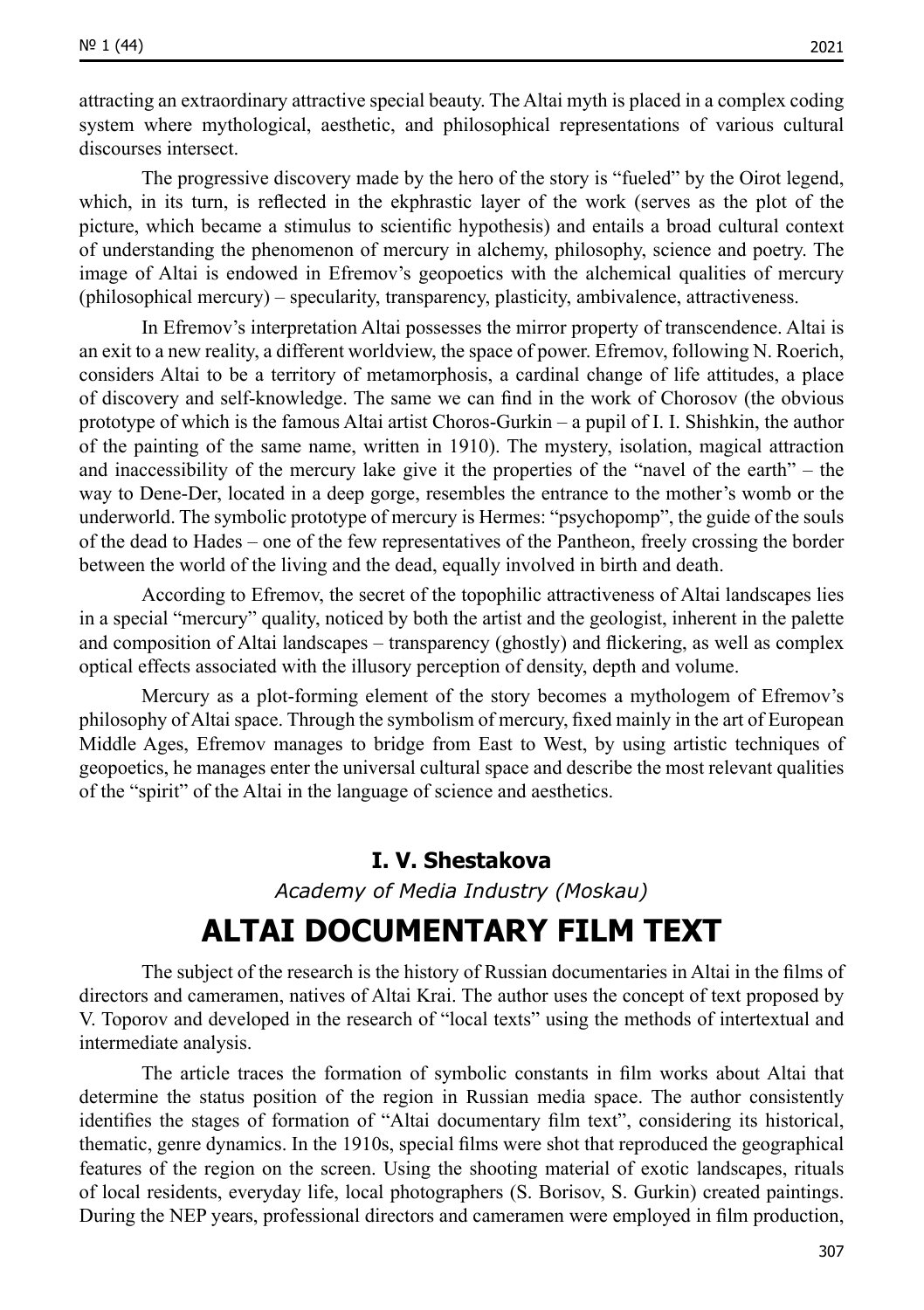attracting an extraordinary attractive special beauty. The Altai myth is placed in a complex coding system where mythological, aesthetic, and philosophical representations of various cultural discourses intersect.

The progressive discovery made by the hero of the story is "fueled" by the Oirot legend, which, in its turn, is reflected in the ekphrastic layer of the work (serves as the plot of the picture, which became a stimulus to scientific hypothesis) and entails a broad cultural context of understanding the phenomenon of mercury in alchemy, philosophy, science and poetry. The image of Altai is endowed in Efremov's geopoetics with the alchemical qualities of mercury (philosophical mercury) – specularity, transparency, plasticity, ambivalence, attractiveness.

In Efremov's interpretation Altai possesses the mirror property of transcendence. Altai is an exit to a new reality, a different worldview, the space of power. Efremov, following N. Roerich, considers Altai to be a territory of metamorphosis, a cardinal change of life attitudes, a place of discovery and self-knowledge. The same we can find in the work of Chorosov (the obvious prototype of which is the famous Altai artist Choros-Gurkin – a pupil of I. I. Shishkin, the author of the painting of the same name, written in 1910). The mystery, isolation, magical attraction and inaccessibility of the mercury lake give it the properties of the "navel of the earth" – the way to Dene-Der, located in a deep gorge, resembles the entrance to the mother's womb or the underworld. The symbolic prototype of mercury is Hermes: "psychopomp", the guide of the souls of the dead to Hades – one of the few representatives of the Pantheon, freely crossing the border between the world of the living and the dead, equally involved in birth and death.

According to Efremov, the secret of the topophilic attractiveness of Altai landscapes lies in a special "mercury" quality, noticed by both the artist and the geologist, inherent in the palette and composition of Altai landscapes – transparency (ghostly) and flickering, as well as complex optical effects associated with the illusory perception of density, depth and volume.

Mercury as a plot-forming element of the story becomes a mythologem of Efremov's philosophy of Altai space. Through the symbolism of mercury, fixed mainly in the art of European Middle Ages, Efremov manages to bridge from East to West, by using artistic techniques of geopoetics, he manages enter the universal cultural space and describe the most relevant qualities of the "spirit" of the Altai in the language of science and aesthetics.

#### **I. V. Shestakova**

*Academy of Media Industry (Moskau)*

### **ALTAI DOCUMENTARY FILM TEXT**

The subject of the research is the history of Russian documentaries in Altai in the films of directors and cameramen, natives of Altai Krai. The author uses the concept of text proposed by V. Toporov and developed in the research of "local texts" using the methods of intertextual and intermediate analysis.

The article traces the formation of symbolic constants in film works about Altai that determine the status position of the region in Russian media space. The author consistently identifies the stages of formation of "Altai documentary film text", considering its historical, thematic, genre dynamics. In the 1910s, special films were shot that reproduced the geographical features of the region on the screen. Using the shooting material of exotic landscapes, rituals of local residents, everyday life, local photographers (S. Borisov, S. Gurkin) created paintings. During the NEP years, professional directors and cameramen were employed in film production,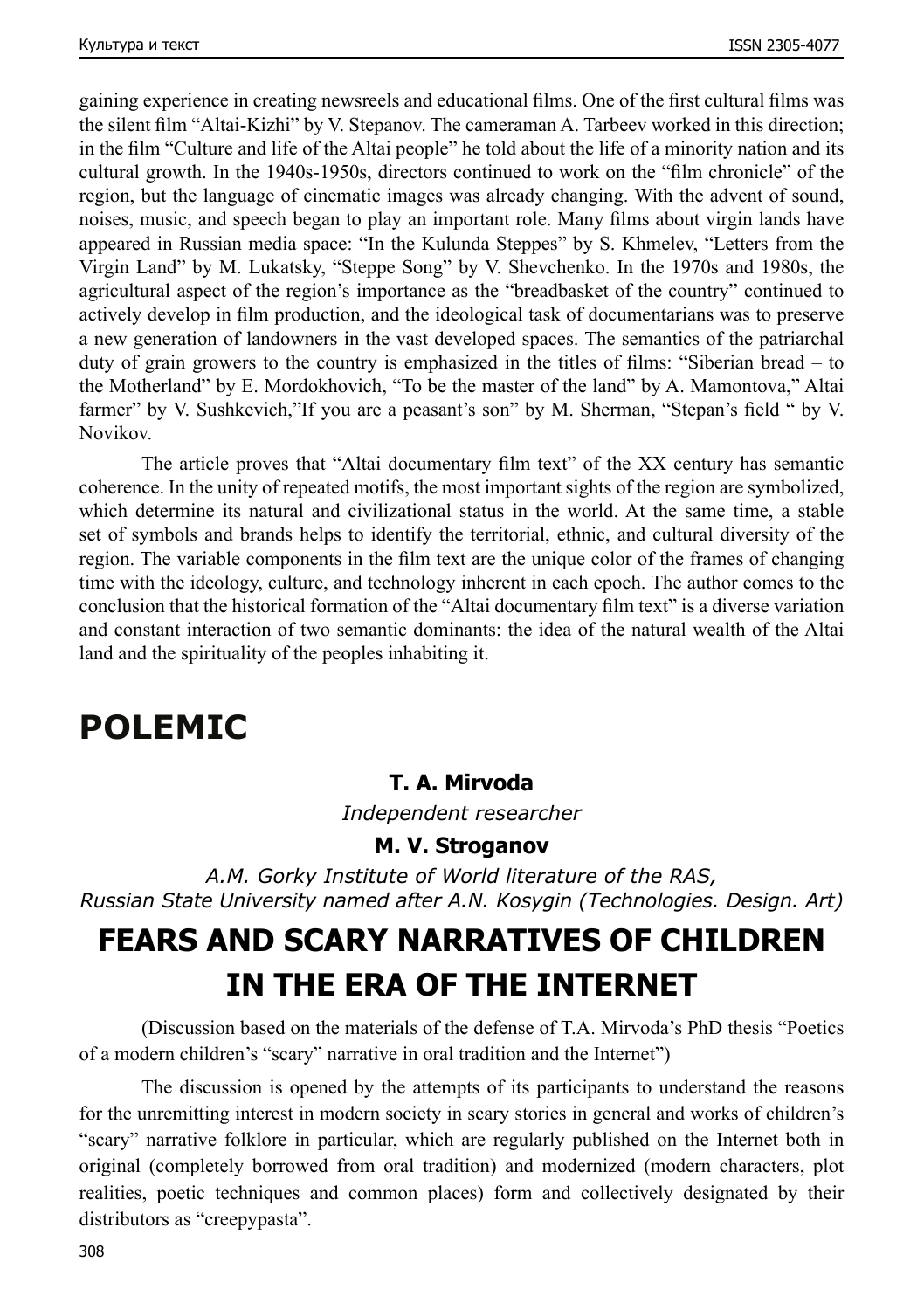gaining experience in creating newsreels and educational films. One of the first cultural films was the silent film "Altai-Kizhi" by V. Stepanov. The cameraman A. Tarbeev worked in this direction; in the film "Culture and life of the Altai people" he told about the life of a minority nation and its cultural growth. In the 1940s-1950s, directors continued to work on the "film chronicle" of the region, but the language of cinematic images was already changing. With the advent of sound, noises, music, and speech began to play an important role. Many films about virgin lands have appeared in Russian media space: "In the Kulunda Steppes" by S. Khmelev, "Letters from the Virgin Land" by M. Lukatsky, "Steppe Song" by V. Shevchenko. In the 1970s and 1980s, the agricultural aspect of the region's importance as the "breadbasket of the country" continued to actively develop in film production, and the ideological task of documentarians was to preserve a new generation of landowners in the vast developed spaces. The semantics of the patriarchal duty of grain growers to the country is emphasized in the titles of films: "Siberian bread – to the Motherland" by E. Mordokhovich, "To be the master of the land" by A. Mamontova," Altai farmer" by V. Sushkevich,"If you are a peasant's son" by M. Sherman, "Stepan's field " by V. Novikov.

The article proves that "Altai documentary film text" of the ХХ century has semantic coherence. In the unity of repeated motifs, the most important sights of the region are symbolized, which determine its natural and civilizational status in the world. At the same time, a stable set of symbols and brands helps to identify the territorial, ethnic, and cultural diversity of the region. The variable components in the film text are the unique color of the frames of changing time with the ideology, culture, and technology inherent in each epoch. The author comes to the conclusion that the historical formation of the "Altai documentary film text" is a diverse variation and constant interaction of two semantic dominants: the idea of the natural wealth of the Altai land and the spirituality of the peoples inhabiting it.

### **POLEMIC**

#### **T. A. Mirvoda**

*Independent researcher*

#### **M. V. Stroganov**

*A.M. Gorky Institute of World literature of the RAS, Russian State University named after A.N. Kosygin (Technologies. Design. Art)*

## **FEARS AND SCARY NARRATIVES OF CHILDREN IN THE ERA OF THE INTERNET**

(Discussion based on the materials of the defense of T.A. Mirvoda's PhD thesis "Poetics of a modern children's "scary" narrative in oral tradition and the Internet")

The discussion is opened by the attempts of its participants to understand the reasons for the unremitting interest in modern society in scary stories in general and works of children's "scary" narrative folklore in particular, which are regularly published on the Internet both in original (completely borrowed from oral tradition) and modernized (modern characters, plot realities, poetic techniques and common places) form and collectively designated by their distributors as "creepypasta".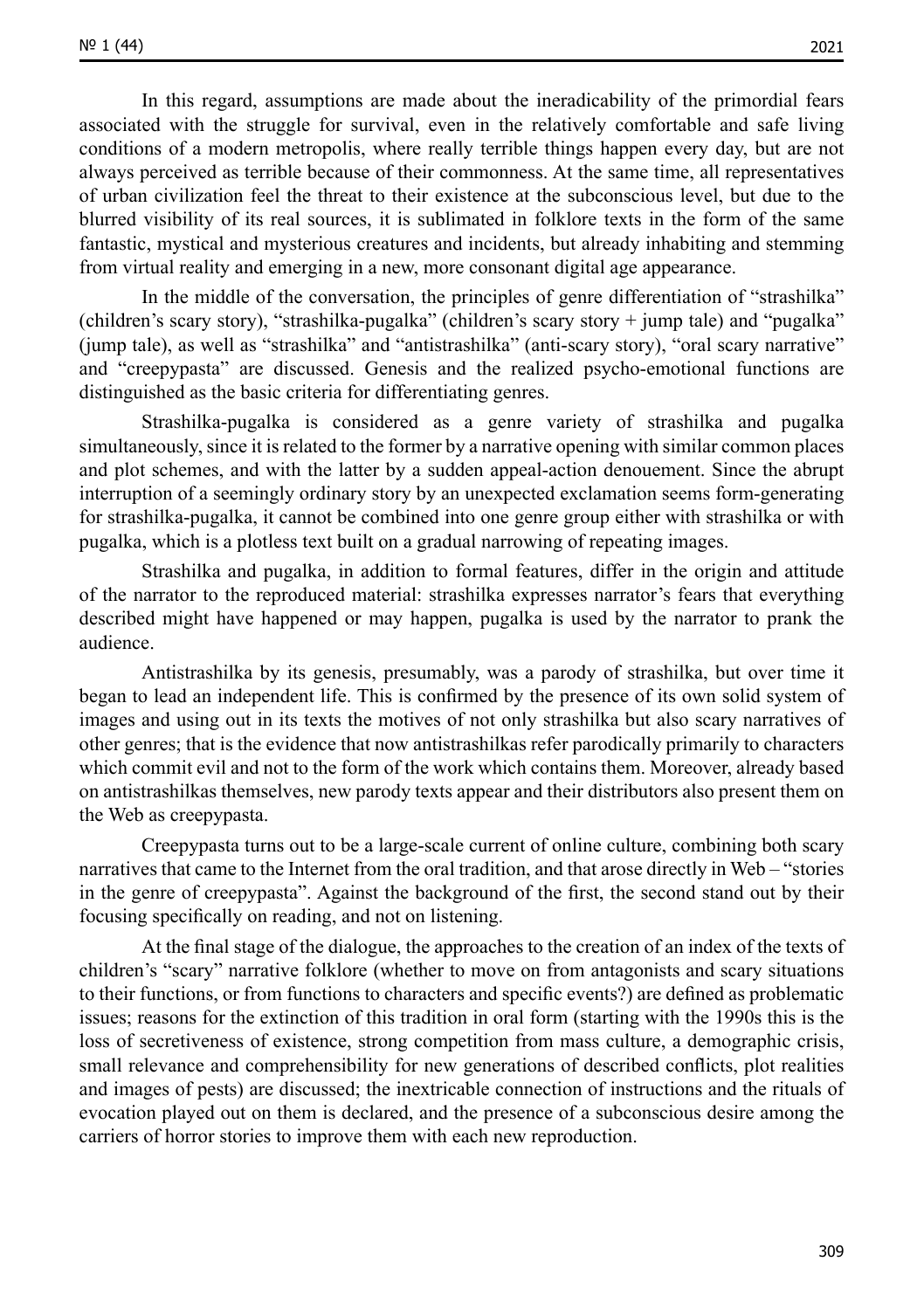In this regard, assumptions are made about the ineradicability of the primordial fears associated with the struggle for survival, even in the relatively comfortable and safe living conditions of a modern metropolis, where really terrible things happen every day, but are not always perceived as terrible because of their commonness. At the same time, all representatives of urban civilization feel the threat to their existence at the subconscious level, but due to the blurred visibility of its real sources, it is sublimated in folklore texts in the form of the same fantastic, mystical and mysterious creatures and incidents, but already inhabiting and stemming from virtual reality and emerging in a new, more consonant digital age appearance.

In the middle of the conversation, the principles of genre differentiation of "strashilka" (children's scary story), "strashilka-pugalka" (children's scary story + jump tale) and "pugalka" (jump tale), as well as "strashilka" and "antistrashilka" (anti-scary story), "oral scary narrative" and "creepypasta" are discussed. Genesis and the realized psycho-emotional functions are distinguished as the basic criteria for differentiating genres.

Strashilka-pugalka is considered as a genre variety of strashilka and pugalka simultaneously, since it is related to the former by a narrative opening with similar common places and plot schemes, and with the latter by a sudden appeal-action denouement. Since the abrupt interruption of a seemingly ordinary story by an unexpected exclamation seems form-generating for strashilka-pugalka, it cannot be combined into one genre group either with strashilka or with pugalka, which is a plotless text built on a gradual narrowing of repeating images.

Strashilka and pugalka, in addition to formal features, differ in the origin and attitude of the narrator to the reproduced material: strashilka expresses narrator's fears that everything described might have happened or may happen, pugalka is used by the narrator to prank the audience.

Antistrashilka by its genesis, presumably, was a parody of strashilka, but over time it began to lead an independent life. This is confirmed by the presence of its own solid system of images and using out in its texts the motives of not only strashilka but also scary narratives of other genres; that is the evidence that now antistrashilkas refer parodically primarily to characters which commit evil and not to the form of the work which contains them. Moreover, already based on antistrashilkas themselves, new parody texts appear and their distributors also present them on the Web as creepypasta.

Creepypasta turns out to be a large-scale current of online culture, combining both scary narratives that came to the Internet from the oral tradition, and that arose directly in Web – "stories in the genre of creepypasta". Against the background of the first, the second stand out by their focusing specifically on reading, and not on listening.

At the final stage of the dialogue, the approaches to the creation of an index of the texts of children's "scary" narrative folklore (whether to move on from antagonists and scary situations to their functions, or from functions to characters and specific events?) are defined as problematic issues; reasons for the extinction of this tradition in oral form (starting with the 1990s this is the loss of secretiveness of existence, strong competition from mass culture, a demographic crisis, small relevance and comprehensibility for new generations of described conflicts, plot realities and images of pests) are discussed; the inextricable connection of instructions and the rituals of evocation played out on them is declared, and the presence of a subconscious desire among the carriers of horror stories to improve them with each new reproduction.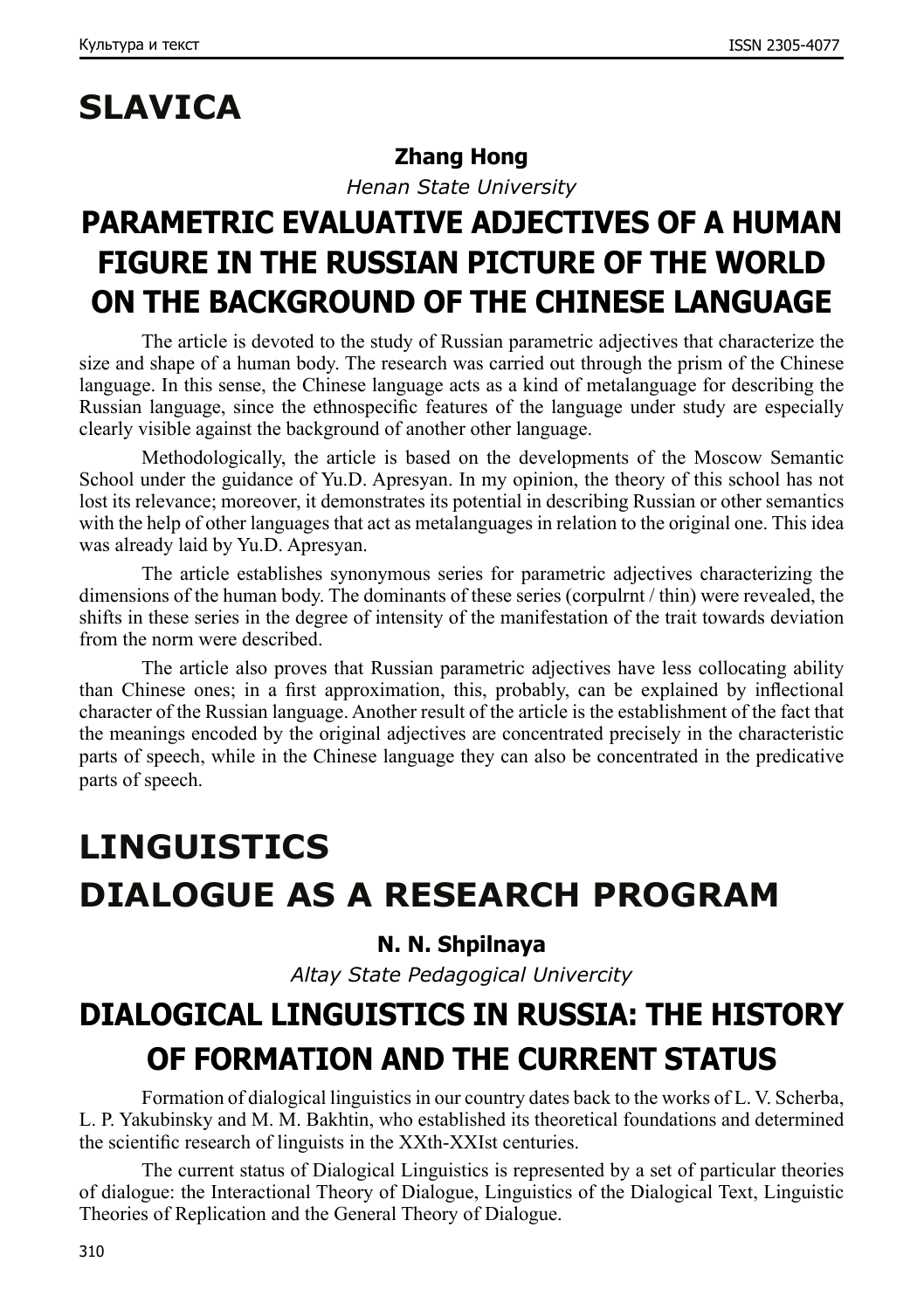# **SLAVICA**

### **Zhang Hong**

*Henan State University*

## **PARAMETRIC EVALUATIVE ADJECTIVES OF A HUMAN FIGURE IN THE RUSSIAN PICTURE OF THE WORLD ON THE BACKGROUND OF THE CHINESE LANGUAGE**

The article is devoted to the study of Russian parametric adjectives that characterize the size and shape of a human body. The research was carried out through the prism of the Chinese language. In this sense, the Chinese language acts as a kind of metalanguage for describing the Russian language, since the ethnospecific features of the language under study are especially clearly visible against the background of another other language.

Methodologically, the article is based on the developments of the Moscow Semantic School under the guidance of Yu.D. Apresyan. In my opinion, the theory of this school has not lost its relevance; moreover, it demonstrates its potential in describing Russian or other semantics with the help of other languages that act as metalanguages in relation to the original one. This idea was already laid by Yu.D. Apresyan.

The article establishes synonymous series for parametric adjectives characterizing the dimensions of the human body. The dominants of these series (corpulrnt / thin) were revealed, the shifts in these series in the degree of intensity of the manifestation of the trait towards deviation from the norm were described.

The article also proves that Russian parametric adjectives have less collocating ability than Chinese ones; in a first approximation, this, probably, can be explained by inflectional character of the Russian language. Another result of the article is the establishment of the fact that the meanings encoded by the original adjectives are concentrated precisely in the characteristic parts of speech, while in the Chinese language they can also be concentrated in the predicative parts of speech.

# **LINGUISTICS DIALOGUE AS A RESEARCH PROGRAM**

### **N. N. Shpilnaya**

*Altay State Pedagogical Univercity*

# **DIALOGICAL LINGUISTICS IN RUSSIA: THE HISTORY OF FORMATION AND THE CURRENT STATUS**

Formation of dialogical linguistics in our country dates back to the works of L. V. Scherba, L. P. Yakubinsky and M. M. Bakhtin, who established its theoretical foundations and determined the scientific research of linguists in the XXth-XXIst centuries.

The current status of Dialogical Linguistics is represented by a set of particular theories of dialogue: the Interactional Theory of Dialogue, Linguistics of the Dialogical Text, Linguistic Theories of Replication and the General Theory of Dialogue.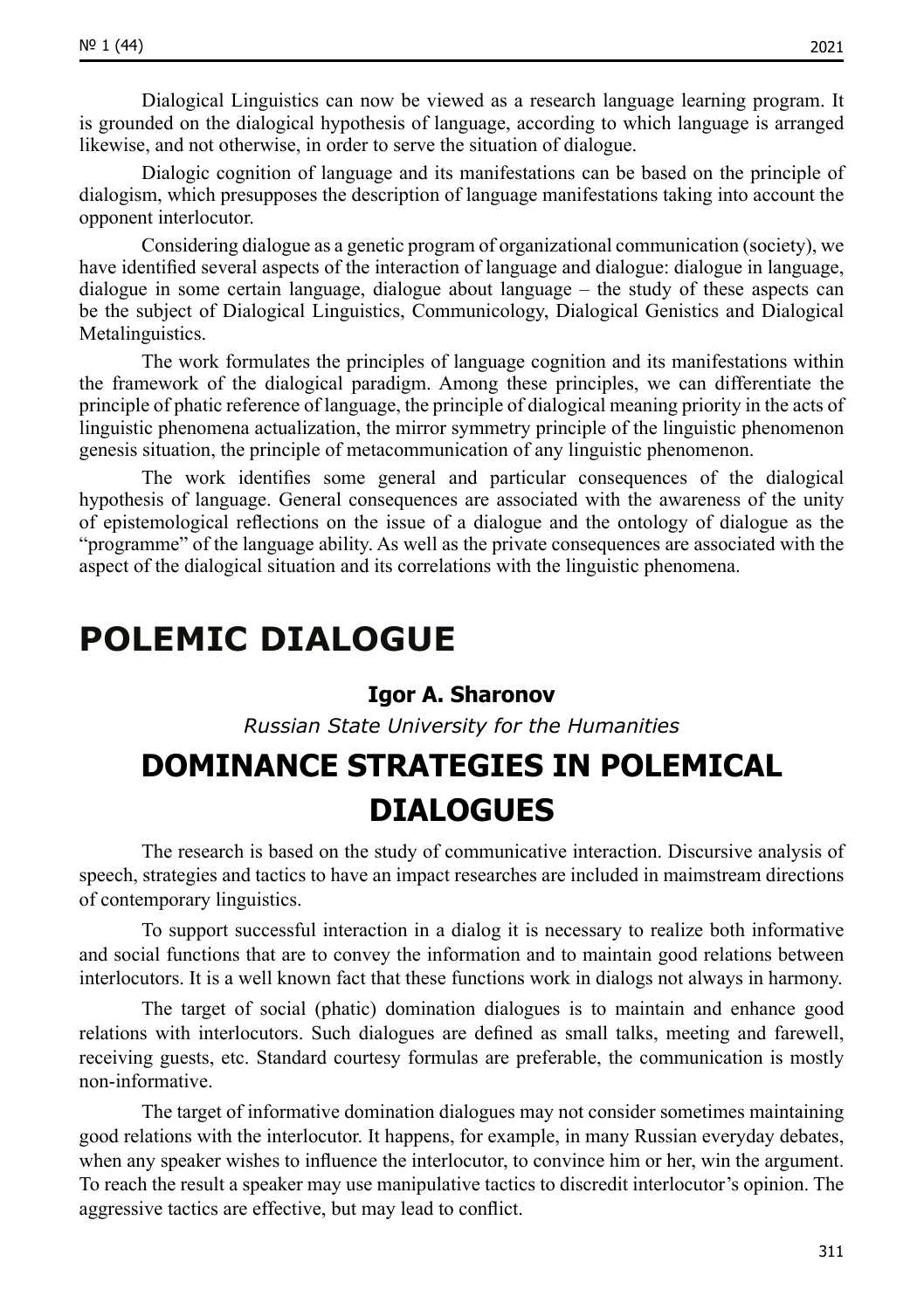Dialogical Linguistics can now be viewed as a research language learning program. It is grounded on the dialogical hypothesis of language, according to which language is arranged likewise, and not otherwise, in order to serve the situation of dialogue.

Dialogic cognition of language and its manifestations can be based on the principle of dialogism, which presupposes the description of language manifestations taking into account the opponent interlocutor.

Considering dialogue as a genetic program of organizational communication (society), we have identified several aspects of the interaction of language and dialogue: dialogue in language, dialogue in some certain language, dialogue about language – the study of these aspects can be the subject of Dialogical Linguistics, Communicology, Dialogical Genistics and Dialogical Metalinguistics.

The work formulates the principles of language cognition and its manifestations within the framework of the dialogical paradigm. Among these principles, we can differentiate the principle of phatic reference of language, the principle of dialogical meaning priority in the acts of linguistic phenomena actualization, the mirror symmetry principle of the linguistic phenomenon genesis situation, the principle of metacommunication of any linguistic phenomenon.

The work identifies some general and particular consequences of the dialogical hypothesis of language. General consequences are associated with the awareness of the unity of epistemological reflections on the issue of a dialogue and the ontology of dialogue as the "programme" of the language ability. As well as the private consequences are associated with the aspect of the dialogical situation and its correlations with the linguistic phenomena.

### **POLEMIC DIALOGUE**

#### **Igor А. Sharonov**

*Russian State University for the Humanities*

## **DOMINANCE STRATEGIES IN POLEMICAL DIALOGUES**

The research is based on the study of communicative interaction. Discursive analysis of speech, strategies and tactics to have an impact researches are included in maimstream directions of contemporary linguistics.

To support successful interaction in a dialog it is necessary to realize both informative and social functions that are to convey the information and to maintain good relations between interlocutors. It is a well known fact that these functions work in dialogs not always in harmony.

The target of social (phatic) domination dialogues is to maintain and enhance good relations with interlocutors. Such dialogues are defined as small talks, meeting and farewell, receiving guests, etc. Standard courtesy formulas are preferable, the communication is mostly non-informative.

The target of informative domination dialogues may not consider sometimes maintaining good relations with the interlocutor. It happens, for example, in many Russian everyday debates, when any speaker wishes to influence the interlocutor, to convince him or her, win the argument. To reach the result a speaker may use manipulative tactics to discredit interlocutor's opinion. The aggressive tactics are effective, but may lead to conflict.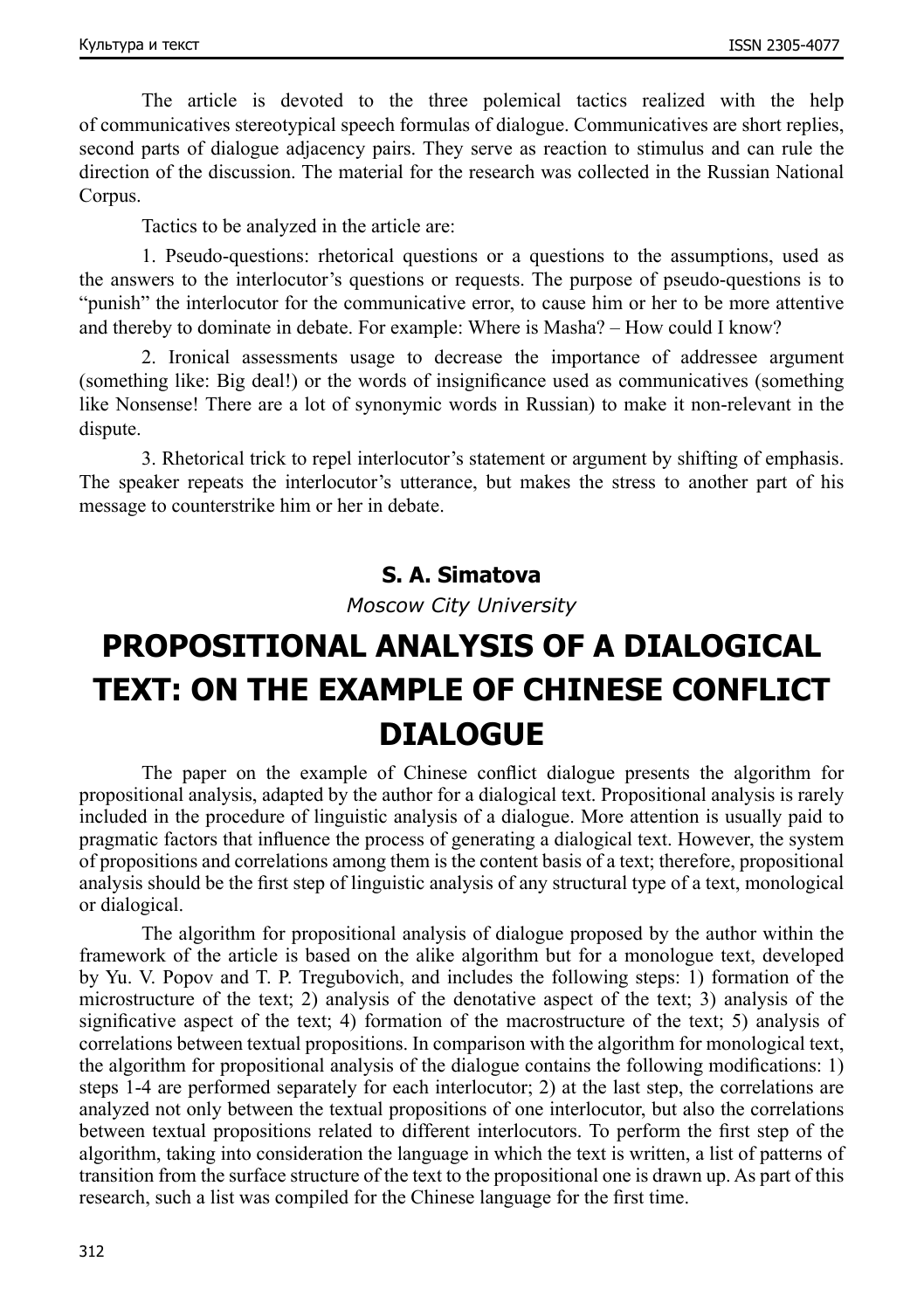The article is devoted to the three polemical tactics realized with the help of communicatives stereotypical speech formulas of dialogue. Communicatives are short replies, second parts of dialogue adjacency pairs. They serve as reaction to stimulus and can rule the direction of the discussion. The material for the research was collected in the Russian National Corpus.

Tactics to be analyzed in the article are:

1. Pseudo-questions: rhetorical questions or a questions to the assumptions, used as the answers to the interlocutor's questions or requests. The purpose of pseudo-questions is to "punish" the interlocutor for the communicative error, to cause him or her to be more attentive and thereby to dominate in debate. For example: Where is Masha? – How could I know?

2. Ironical assessments usage to decrease the importance of addressee argument (something like: Big deal!) or the words of insignificance used as communicatives (something like Nonsense! There are a lot of synonymic words in Russian) to make it non-relevant in the dispute.

3. Rhetorical trick to repel interlocutor's statement or argument by shifting of emphasis. The speaker repeats the interlocutor's utterance, but makes the stress to another part of his message to counterstrike him or her in debate.

#### **S. A. Simatova**

*Moscow City University*

## **PROPOSITIONAL ANALYSIS OF A DIALOGICAL TEXT: ON THE EXAMPLE OF CHINESE CONFLICT DIALOGUE**

The paper on the example of Chinese conflict dialogue presents the algorithm for propositional analysis, adapted by the author for a dialogical text. Propositional analysis is rarely included in the procedure of linguistic analysis of a dialogue. More attention is usually paid to pragmatic factors that influence the process of generating a dialogical text. However, the system of propositions and correlations among them is the content basis of a text; therefore, propositional analysis should be the first step of linguistic analysis of any structural type of a text, monological or dialogical.

The algorithm for propositional analysis of dialogue proposed by the author within the framework of the article is based on the alike algorithm but for a monologue text, developed by Yu. V. Popov and T. P. Tregubovich, and includes the following steps: 1) formation of the microstructure of the text; 2) analysis of the denotative aspect of the text; 3) analysis of the significative aspect of the text; 4) formation of the macrostructure of the text; 5) analysis of correlations between textual propositions. In comparison with the algorithm for monological text, the algorithm for propositional analysis of the dialogue contains the following modifications: 1) steps 1-4 are performed separately for each interlocutor; 2) at the last step, the correlations are analyzed not only between the textual propositions of one interlocutor, but also the correlations between textual propositions related to different interlocutors. To perform the first step of the algorithm, taking into consideration the language in which the text is written, a list of patterns of transition from the surface structure of the text to the propositional one is drawn up. As part of this research, such a list was compiled for the Chinese language for the first time.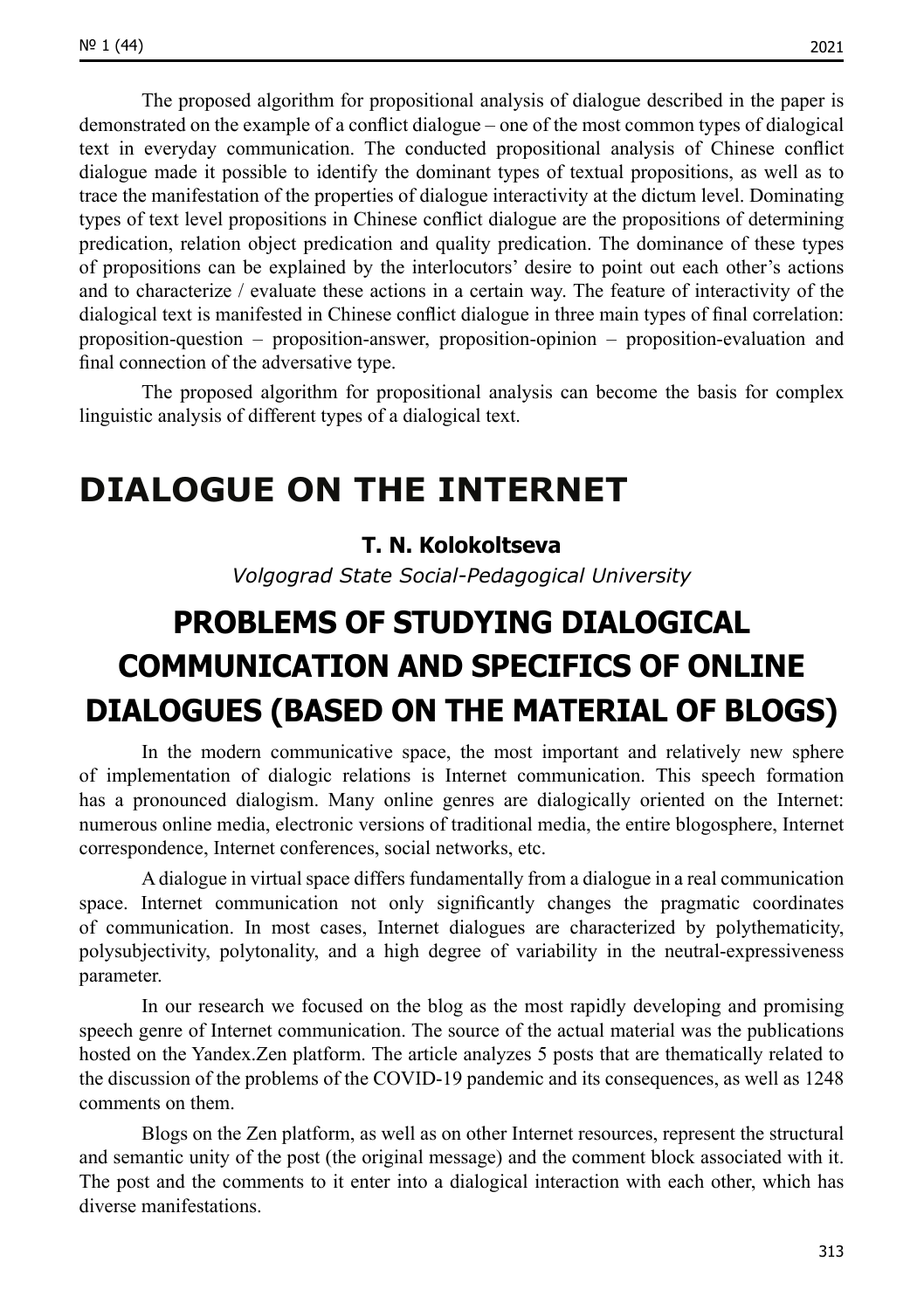The proposed algorithm for propositional analysis of dialogue described in the paper is demonstrated on the example of a conflict dialogue – one of the most common types of dialogical text in everyday communication. The conducted propositional analysis of Chinese conflict dialogue made it possible to identify the dominant types of textual propositions, as well as to trace the manifestation of the properties of dialogue interactivity at the dictum level. Dominating types of text level propositions in Chinese conflict dialogue are the propositions of determining predication, relation object predication and quality predication. The dominance of these types of propositions can be explained by the interlocutors' desire to point out each other's actions and to characterize / evaluate these actions in a certain way. The feature of interactivity of the dialogical text is manifested in Chinese conflict dialogue in three main types of final correlation: proposition-question – proposition-answer, proposition-opinion – proposition-evaluation and final connection of the adversative type.

The proposed algorithm for propositional analysis can become the basis for complex linguistic analysis of different types of a dialogical text.

### **DIALOGUE ON THE INTERNET**

#### **T. N. Kolokoltseva**

*Volgograd State Social-Pedagogical University*

## **PROBLEMS OF STUDYING DIALOGICAL COMMUNICATION AND SPECIFICS OF ONLINE DIALOGUES (BASED ON THE MATERIAL OF BLOGS)**

In the modern communicative space, the most important and relatively new sphere of implementation of dialogic relations is Internet communication. This speech formation has a pronounced dialogism. Many online genres are dialogically oriented on the Internet: numerous online media, electronic versions of traditional media, the entire blogosphere, Internet correspondence, Internet conferences, social networks, etc.

A dialogue in virtual space differs fundamentally from a dialogue in a real communication space. Internet communication not only significantly changes the pragmatic coordinates of communication. In most cases, Internet dialogues are characterized by polythematicity, polysubjectivity, polytonality, and a high degree of variability in the neutral-expressiveness parameter.

In our research we focused on the blog as the most rapidly developing and promising speech genre of Internet communication. The source of the actual material was the publications hosted on the Yandex.Zen platform. The article analyzes 5 posts that are thematically related to the discussion of the problems of the COVID-19 pandemic and its consequences, as well as 1248 comments on them.

Blogs on the Zen platform, as well as on other Internet resources, represent the structural and semantic unity of the post (the original message) and the comment block associated with it. The post and the comments to it enter into a dialogical interaction with each other, which has diverse manifestations.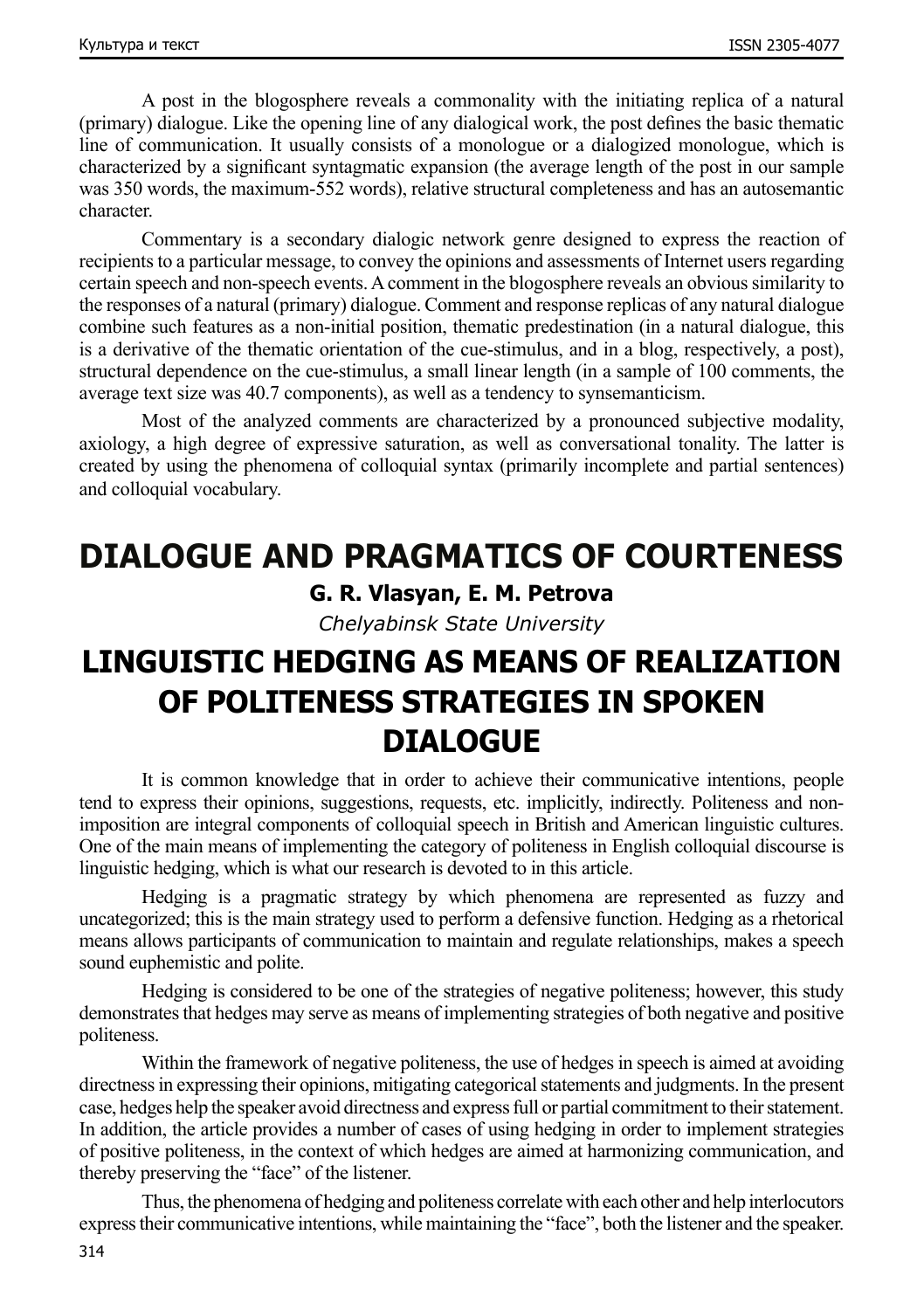A post in the blogosphere reveals a commonality with the initiating replica of a natural (primary) dialogue. Like the opening line of any dialogical work, the post defines the basic thematic line of communication. It usually consists of a monologue or a dialogized monologue, which is characterized by a significant syntagmatic expansion (the average length of the post in our sample was 350 words, the maximum-552 words), relative structural completeness and has an autosemantic character.

Commentary is a secondary dialogic network genre designed to express the reaction of recipients to a particular message, to convey the opinions and assessments of Internet users regarding certain speech and non-speech events. A comment in the blogosphere reveals an obvious similarity to the responses of a natural (primary) dialogue. Comment and response replicas of any natural dialogue combine such features as a non-initial position, thematic predestination (in a natural dialogue, this is a derivative of the thematic orientation of the cue-stimulus, and in a blog, respectively, a post), structural dependence on the cue-stimulus, a small linear length (in a sample of 100 comments, the average text size was 40.7 components), as well as a tendency to synsemanticism.

Most of the analyzed comments are characterized by a pronounced subjective modality, axiology, a high degree of expressive saturation, as well as conversational tonality. The latter is created by using the phenomena of colloquial syntax (primarily incomplete and partial sentences) and colloquial vocabulary.

# **DIALOGUE AND PRAGMATICS OF COURTENESS**

### **G. R. Vlasyan, E. M. Petrova**

*Chelyabinsk State University*

### **LINGUISTIC HEDGING AS MEANS OF REALIZATION OF POLITENESS STRATEGIES IN SPOKEN DIALOGUE**

It is common knowledge that in order to achieve their communicative intentions, people tend to express their opinions, suggestions, requests, etc. implicitly, indirectly. Politeness and nonimposition are integral components of colloquial speech in British and American linguistic cultures. One of the main means of implementing the category of politeness in English colloquial discourse is linguistic hedging, which is what our research is devoted to in this article.

Hedging is a pragmatic strategy by which phenomena are represented as fuzzy and uncategorized; this is the main strategy used to perform a defensive function. Hedging as a rhetorical means allows participants of communication to maintain and regulate relationships, makes a speech sound euphemistic and polite.

Hedging is considered to be one of the strategies of negative politeness; however, this study demonstrates that hedges may serve as means of implementing strategies of both negative and positive politeness.

Within the framework of negative politeness, the use of hedges in speech is aimed at avoiding directness in expressing their opinions, mitigating categorical statements and judgments. In the present case, hedges help the speaker avoid directness and express full or partial commitment to their statement. In addition, the article provides a number of cases of using hedging in order to implement strategies of positive politeness, in the context of which hedges are aimed at harmonizing communication, and thereby preserving the "face" of the listener.

Thus, the phenomena of hedging and politeness correlate with each other and help interlocutors express their communicative intentions, while maintaining the "face", both the listener and the speaker.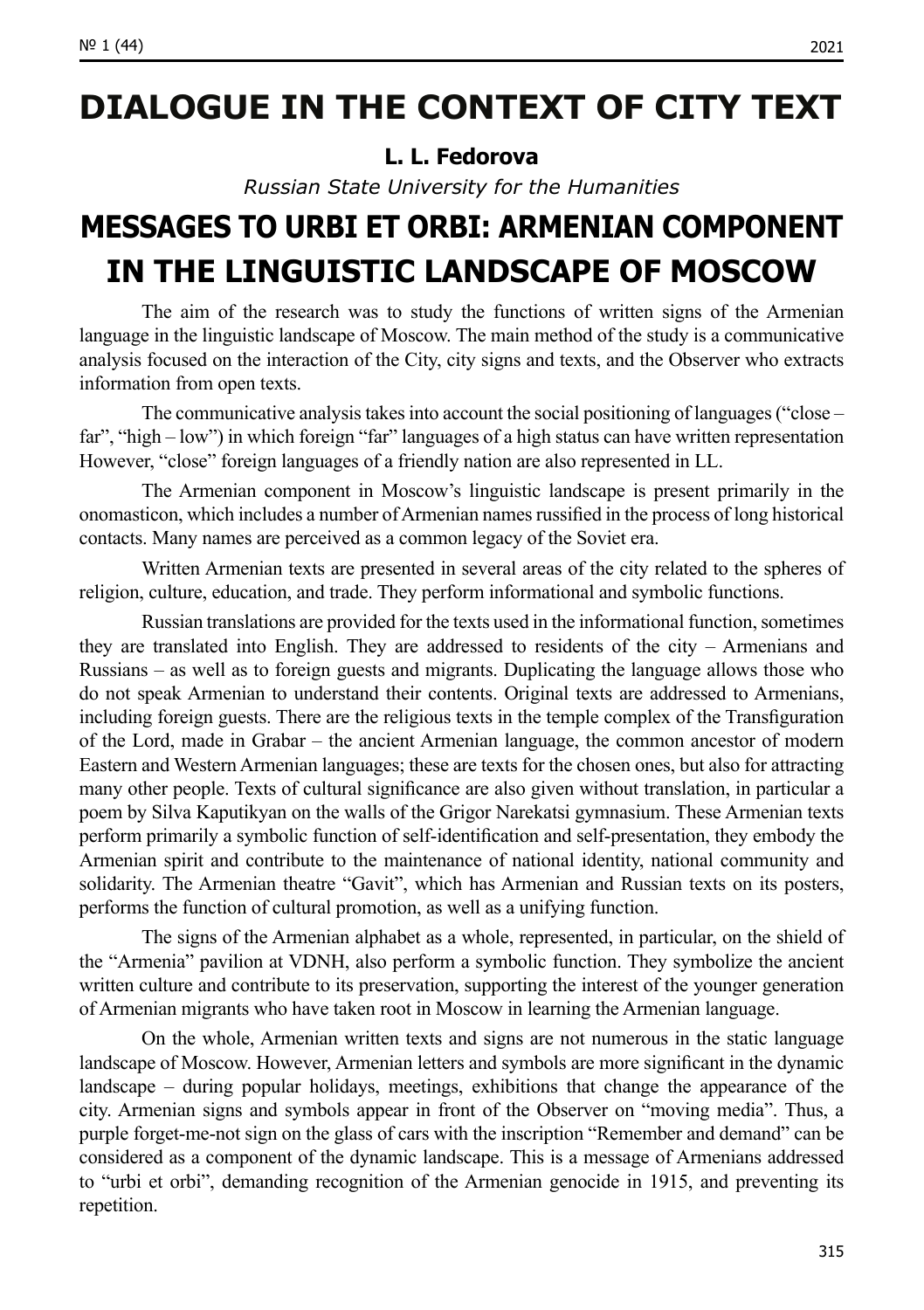### **DIALOGUE IN THE CONTEXT OF CITY TEXT**

#### **L. L. Fedorova**

*Russian State University for the Humanities*

## **MESSAGES TO URBI ET ORBI: ARMENIAN COMPONENT IN THE LINGUISTIC LANDSCAPE OF MOSCOW**

The aim of the research was to study the functions of written signs of the Armenian language in the linguistic landscape of Moscow. The main method of the study is a communicative analysis focused on the interaction of the City, city signs and texts, and the Observer who extracts information from open texts.

The communicative analysis takes into account the social positioning of languages ("close – far", "high – low") in which foreign "far" languages of a high status can have written representation However, "close" foreign languages of a friendly nation are also represented in LL.

The Armenian component in Moscow's linguistic landscape is present primarily in the onomasticon, which includes a number of Armenian names russified in the process of long historical contacts. Many names are perceived as a common legacy of the Soviet era.

Written Armenian texts are presented in several areas of the city related to the spheres of religion, culture, education, and trade. They perform informational and symbolic functions.

Russian translations are provided for the texts used in the informational function, sometimes they are translated into English. They are addressed to residents of the city – Armenians and Russians – as well as to foreign guests and migrants. Duplicating the language allows those who do not speak Armenian to understand their contents. Original texts are addressed to Armenians, including foreign guests. There are the religious texts in the temple complex of the Transfiguration of the Lord, made in Grabar – the ancient Armenian language, the common ancestor of modern Eastern and Western Armenian languages; these are texts for the chosen ones, but also for attracting many other people. Texts of cultural significance are also given without translation, in particular a poem by Silva Kaputikyan on the walls of the Grigor Narekatsi gymnasium. These Armenian texts perform primarily a symbolic function of self-identification and self-presentation, they embody the Armenian spirit and contribute to the maintenance of national identity, national community and solidarity. The Armenian theatre "Gavit", which has Armenian and Russian texts on its posters, performs the function of cultural promotion, as well as a unifying function.

The signs of the Armenian alphabet as a whole, represented, in particular, on the shield of the "Armenia" pavilion at VDNH, also perform a symbolic function. They symbolize the ancient written culture and contribute to its preservation, supporting the interest of the younger generation of Armenian migrants who have taken root in Moscow in learning the Armenian language.

On the whole, Armenian written texts and signs are not numerous in the static language landscape of Moscow. However, Armenian letters and symbols are more significant in the dynamic landscape – during popular holidays, meetings, exhibitions that change the appearance of the city. Armenian signs and symbols appear in front of the Observer on "moving media". Thus, a purple forget-me-not sign on the glass of cars with the inscription "Remember and demand" can be considered as a component of the dynamic landscape. This is a message of Armenians addressed to "urbi et orbi", demanding recognition of the Armenian genocide in 1915, and preventing its repetition.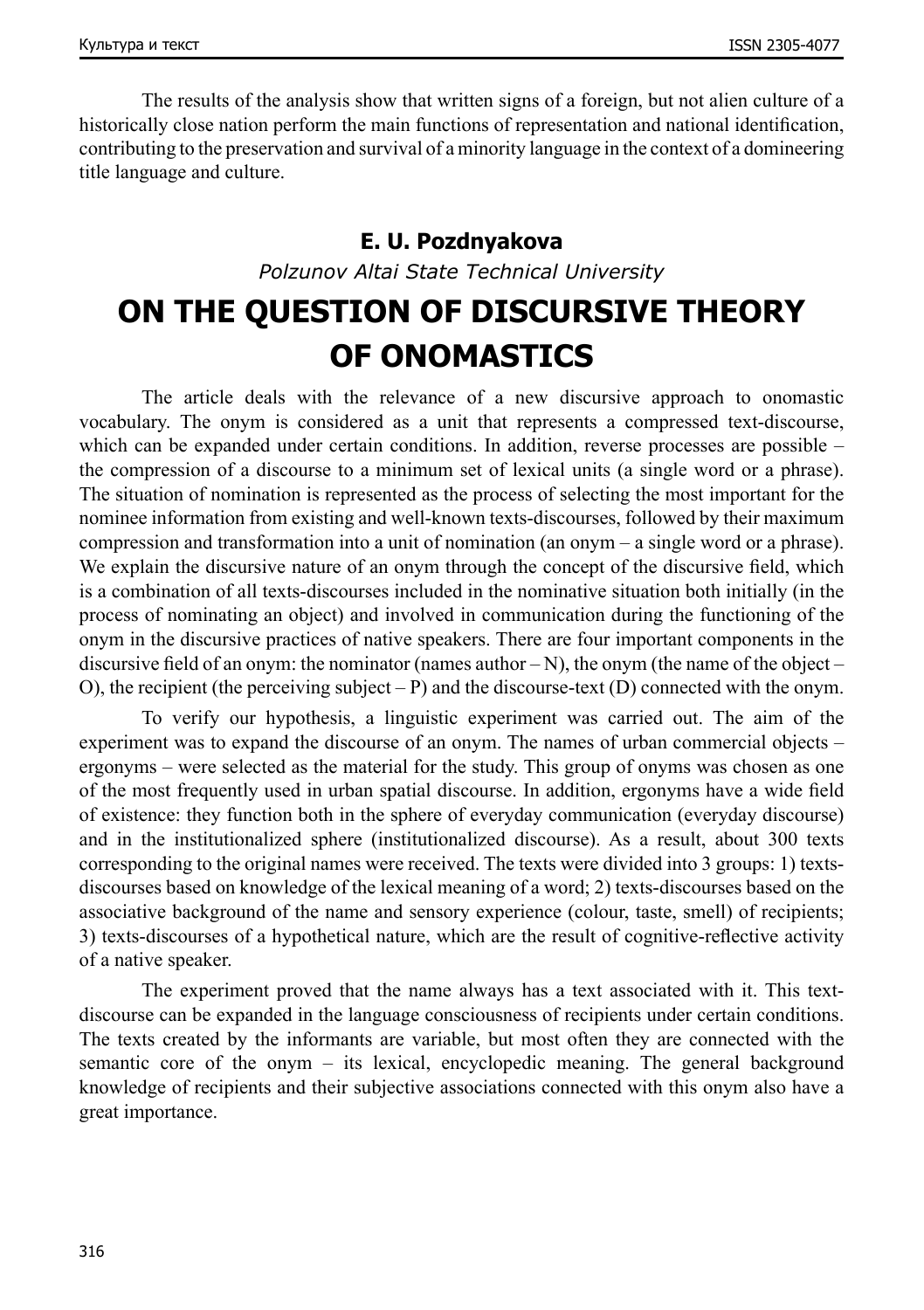The results of the analysis show that written signs of a foreign, but not alien culture of a historically close nation perform the main functions of representation and national identification, contributing to the preservation and survival of a minority language in the context of a domineering title language and culture.

#### **E. U. Pozdnyakova**

*Polzunov Altai State Technical University*

## **ON THE QUESTION OF DISCURSIVE THEORY OF ONOMASTICS**

The article deals with the relevance of a new discursive approach to onomastic vocabulary. The onym is considered as a unit that represents a compressed text-discourse, which can be expanded under certain conditions. In addition, reverse processes are possible – the compression of a discourse to a minimum set of lexical units (a single word or a phrase). The situation of nomination is represented as the process of selecting the most important for the nominee information from existing and well-known texts-discourses, followed by their maximum compression and transformation into a unit of nomination (an onym – a single word or a phrase). We explain the discursive nature of an onym through the concept of the discursive field, which is a combination of all texts-discourses included in the nominative situation both initially (in the process of nominating an object) and involved in communication during the functioning of the onym in the discursive practices of native speakers. There are four important components in the discursive field of an onym: the nominator (names author – N), the onym (the name of the object – O), the recipient (the perceiving subject – P) and the discourse-text (D) connected with the onym.

To verify our hypothesis, a linguistic experiment was carried out. The aim of the experiment was to expand the discourse of an onym. The names of urban commercial objects – ergonyms – were selected as the material for the study. This group of onyms was chosen as one of the most frequently used in urban spatial discourse. In addition, ergonyms have a wide field of existence: they function both in the sphere of everyday communication (everyday discourse) and in the institutionalized sphere (institutionalized discourse). As a result, about 300 texts corresponding to the original names were received. The texts were divided into 3 groups: 1) textsdiscourses based on knowledge of the lexical meaning of a word; 2) texts-discourses based on the associative background of the name and sensory experience (colour, taste, smell) of recipients; 3) texts-discourses of a hypothetical nature, which are the result of cognitive-reflective activity of a native speaker.

The experiment proved that the name always has a text associated with it. This textdiscourse can be expanded in the language consciousness of recipients under certain conditions. The texts created by the informants are variable, but most often they are connected with the semantic core of the onym – its lexical, encyclopedic meaning. The general background knowledge of recipients and their subjective associations connected with this onym also have a great importance.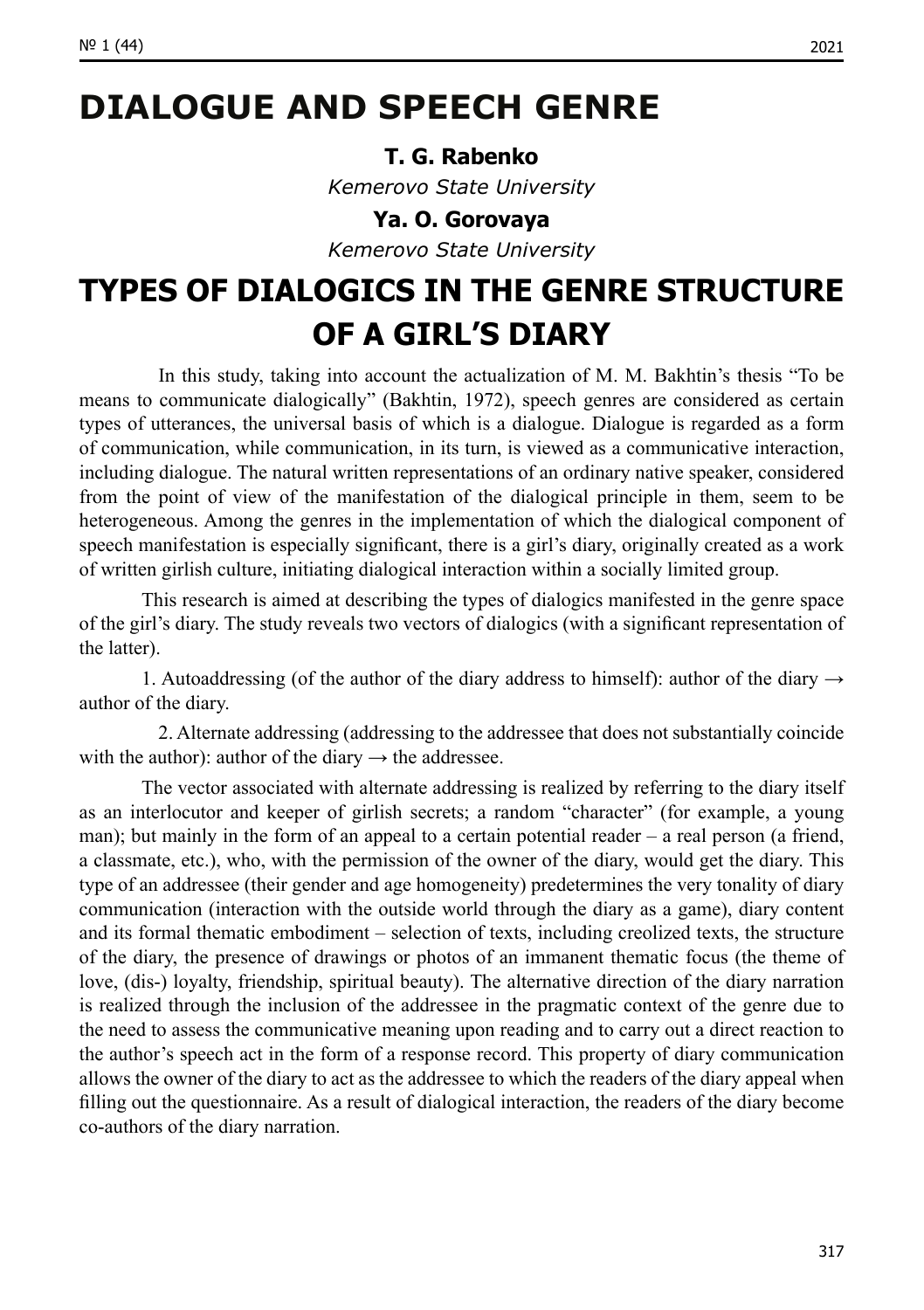#### **T. G. Rabenko**

*Kemerovo State University*

#### **Ya. O. Gorovaya**

*Kemerovo State University*

## **TYPES OF DIALOGICS IN THE GENRE STRUCTURE OF A GIRL'S DIARY**

In this study, taking into account the actualization of M. M. Bakhtin's thesis "To be means to communicate dialogically" (Bakhtin, 1972), speech genres are considered as certain types of utterances, the universal basis of which is a dialogue. Dialogue is regarded as a form of communication, while communication, in its turn, is viewed as a communicative interaction, including dialogue. The natural written representations of an ordinary native speaker, considered from the point of view of the manifestation of the dialogical principle in them, seem to be heterogeneous. Among the genres in the implementation of which the dialogical component of speech manifestation is especially significant, there is a girl's diary, originally created as a work of written girlish culture, initiating dialogical interaction within a socially limited group.

This research is aimed at describing the types of dialogics manifested in the genre space of the girl's diary. The study reveals two vectors of dialogics (with a significant representation of the latter).

1. Autoaddressing (of the author of the diary address to himself): author of the diary  $\rightarrow$ author of the diary.

2. Alternate addressing (addressing to the addressee that does not substantially coincide with the author): author of the diary  $\rightarrow$  the addressee.

The vector associated with alternate addressing is realized by referring to the diary itself as an interlocutor and keeper of girlish secrets; a random "character" (for example, a young man); but mainly in the form of an appeal to a certain potential reader – a real person (a friend, a classmate, etc.), who, with the permission of the owner of the diary, would get the diary. This type of an addressee (their gender and age homogeneity) predetermines the very tonality of diary communication (interaction with the outside world through the diary as a game), diary content and its formal thematic embodiment – selection of texts, including creolized texts, the structure of the diary, the presence of drawings or photos of an immanent thematic focus (the theme of love, (dis-) loyalty, friendship, spiritual beauty). The alternative direction of the diary narration is realized through the inclusion of the addressee in the pragmatic context of the genre due to the need to assess the communicative meaning upon reading and to carry out a direct reaction to the author's speech act in the form of a response record. This property of diary communication allows the owner of the diary to act as the addressee to which the readers of the diary appeal when filling out the questionnaire. As a result of dialogical interaction, the readers of the diary become co-authors of the diary narration.